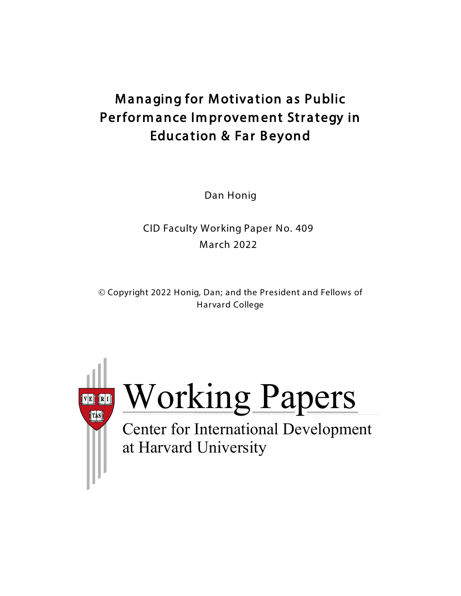# **Managing for Motivation as Public** Performance Improvement Strategy in Education & Far Beyond

Dan Honig

CID Faculty Working Paper No. 409 March 2022

 Copyright 2022 Honig, Dan; and the President and Fellows of Harvard College



Working Papers

at Harvard University Center for International Development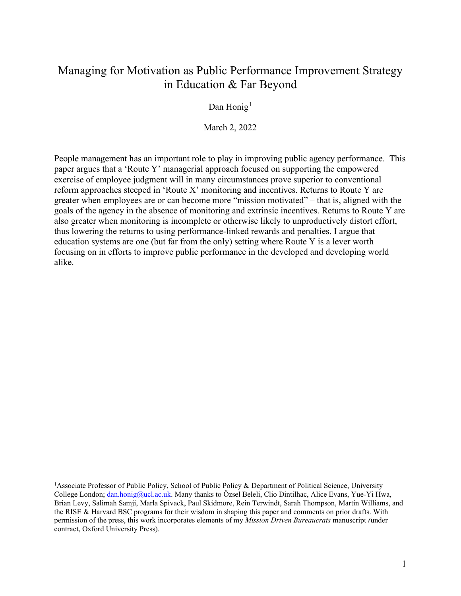# Managing for Motivation as Public Performance Improvement Strategy in Education & Far Beyond

Dan Honig<sup>[1](#page-1-0)</sup>

March 2, 2022

People management has an important role to play in improving public agency performance. This paper argues that a 'Route Y' managerial approach focused on supporting the empowered exercise of employee judgment will in many circumstances prove superior to conventional reform approaches steeped in 'Route X' monitoring and incentives. Returns to Route Y are greater when employees are or can become more "mission motivated" – that is, aligned with the goals of the agency in the absence of monitoring and extrinsic incentives. Returns to Route Y are also greater when monitoring is incomplete or otherwise likely to unproductively distort effort, thus lowering the returns to using performance-linked rewards and penalties. I argue that education systems are one (but far from the only) setting where Route Y is a lever worth focusing on in efforts to improve public performance in the developed and developing world alike.

<span id="page-1-0"></span><sup>&</sup>lt;sup>1</sup>Associate Professor of Public Policy, School of Public Policy & Department of Political Science, University College London; [dan.honig@ucl.ac.uk.](mailto:dan.honig@ucl.ac.uk) Many thanks to Özsel Beleli, Clio Dintilhac, Alice Evans, Yue-Yi Hwa, Brian Levy, Salimah Samji, Marla Spivack, Paul Skidmore, Rein Terwindt, Sarah Thompson, Martin Williams, and the RISE & Harvard BSC programs for their wisdom in shaping this paper and comments on prior drafts. With permission of the press, this work incorporates elements of my *Mission Driven Bureaucrats* manuscript *(*under contract, Oxford University Press)*.*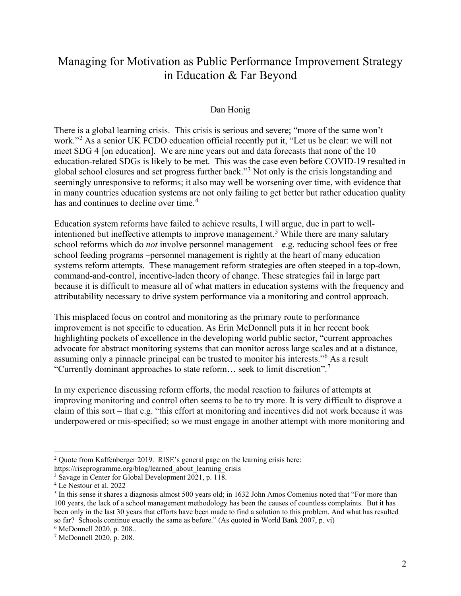# Managing for Motivation as Public Performance Improvement Strategy in Education & Far Beyond

#### Dan Honig

There is a global learning crisis. This crisis is serious and severe; "more of the same won't work."<sup>[2](#page-2-0)</sup> As a senior UK FCDO education official recently put it, "Let us be clear: we will not meet SDG 4 [on education]. We are nine years out and data forecasts that none of the 10 education-related SDGs is likely to be met. This was the case even before COVID-19 resulted in global school closures and set progress further back."[3](#page-2-1) Not only is the crisis longstanding and seemingly unresponsive to reforms; it also may well be worsening over time, with evidence that in many countries education systems are not only failing to get better but rather education quality has and continues to decline over time.<sup>[4](#page-2-2)</sup>

Education system reforms have failed to achieve results, I will argue, due in part to well-intentioned but ineffective attempts to improve management.<sup>[5](#page-2-3)</sup> While there are many salutary school reforms which do *not* involve personnel management – e.g. reducing school fees or free school feeding programs –personnel management is rightly at the heart of many education systems reform attempts. These management reform strategies are often steeped in a top-down, command-and-control, incentive-laden theory of change. These strategies fail in large part because it is difficult to measure all of what matters in education systems with the frequency and attributability necessary to drive system performance via a monitoring and control approach.

This misplaced focus on control and monitoring as the primary route to performance improvement is not specific to education. As Erin McDonnell puts it in her recent book highlighting pockets of excellence in the developing world public sector, "current approaches advocate for abstract monitoring systems that can monitor across large scales and at a distance, assuming only a pinnacle principal can be trusted to monitor his interests."[6](#page-2-4) As a result "Currently dominant approaches to state reform… seek to limit discretion".[7](#page-2-5)

In my experience discussing reform efforts, the modal reaction to failures of attempts at improving monitoring and control often seems to be to try more. It is very difficult to disprove a claim of this sort – that e.g. "this effort at monitoring and incentives did not work because it was underpowered or mis-specified; so we must engage in another attempt with more monitoring and

<span id="page-2-0"></span><sup>&</sup>lt;sup>2</sup> Quote from Kaffenberger 2019. RISE's general page on the learning crisis here:

https://riseprogramme.org/blog/learned\_about\_learning\_crisis

<span id="page-2-1"></span><sup>3</sup> Savage in Center for Global Development 2021, p. 118.

<span id="page-2-2"></span><sup>4</sup> Le Nestour et al. 2022

<span id="page-2-3"></span> $<sup>5</sup>$  In this sense it shares a diagnosis almost 500 years old; in 1632 John Amos Comenius noted that "For more than</sup> 100 years, the lack of a school management methodology has been the causes of countless complaints. But it has been only in the last 30 years that efforts have been made to find a solution to this problem. And what has resulted so far? Schools continue exactly the same as before." (As quoted in World Bank 2007, p. vi)

<span id="page-2-4"></span><sup>6</sup> McDonnell 2020, p. 208..

<span id="page-2-5"></span><sup>7</sup> McDonnell 2020, p. 208.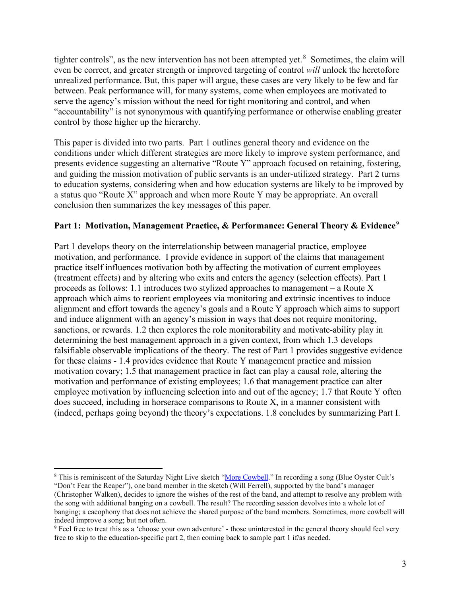tighter controls", as the new intervention has not been attempted yet.<sup>[8](#page-3-0)</sup> Sometimes, the claim will even be correct, and greater strength or improved targeting of control *will* unlock the heretofore unrealized performance. But, this paper will argue, these cases are very likely to be few and far between. Peak performance will, for many systems, come when employees are motivated to serve the agency's mission without the need for tight monitoring and control, and when "accountability" is not synonymous with quantifying performance or otherwise enabling greater control by those higher up the hierarchy.

This paper is divided into two parts. Part 1 outlines general theory and evidence on the conditions under which different strategies are more likely to improve system performance, and presents evidence suggesting an alternative "Route Y" approach focused on retaining, fostering, and guiding the mission motivation of public servants is an under-utilized strategy. Part 2 turns to education systems, considering when and how education systems are likely to be improved by a status quo "Route X" approach and when more Route Y may be appropriate. An overall conclusion then summarizes the key messages of this paper.

# **Part 1: Motivation, Management Practice, & Performance: General Theory & Evidence**<sup>[9](#page-3-1)</sup>

Part 1 develops theory on the interrelationship between managerial practice, employee motivation, and performance. I provide evidence in support of the claims that management practice itself influences motivation both by affecting the motivation of current employees (treatment effects) and by altering who exits and enters the agency (selection effects). Part 1 proceeds as follows: 1.1 introduces two stylized approaches to management – a Route  $X$ approach which aims to reorient employees via monitoring and extrinsic incentives to induce alignment and effort towards the agency's goals and a Route Y approach which aims to support and induce alignment with an agency's mission in ways that does not require monitoring, sanctions, or rewards. 1.2 then explores the role monitorability and motivate-ability play in determining the best management approach in a given context, from which 1.3 develops falsifiable observable implications of the theory. The rest of Part 1 provides suggestive evidence for these claims - 1.4 provides evidence that Route Y management practice and mission motivation covary; 1.5 that management practice in fact can play a causal role, altering the motivation and performance of existing employees; 1.6 that management practice can alter employee motivation by influencing selection into and out of the agency; 1.7 that Route Y often does succeed, including in horserace comparisons to Route X, in a manner consistent with (indeed, perhaps going beyond) the theory's expectations. 1.8 concludes by summarizing Part I.

<span id="page-3-0"></span><sup>&</sup>lt;sup>8</sup> This is reminiscent of the Saturday Night Live sketch ["More Cowbell.](https://vimeo.com/126322279)" In recording a song (Blue Oyster Cult's "Don't Fear the Reaper"), one band member in the sketch (Will Ferrell), supported by the band's manager (Christopher Walken), decides to ignore the wishes of the rest of the band, and attempt to resolve any problem with the song with additional banging on a cowbell. The result? The recording session devolves into a whole lot of banging; a cacophony that does not achieve the shared purpose of the band members. Sometimes, more cowbell will indeed improve a song; but not often.

<span id="page-3-1"></span><sup>9</sup> Feel free to treat this as a 'choose your own adventure' - those uninterested in the general theory should feel very free to skip to the education-specific part 2, then coming back to sample part 1 if/as needed.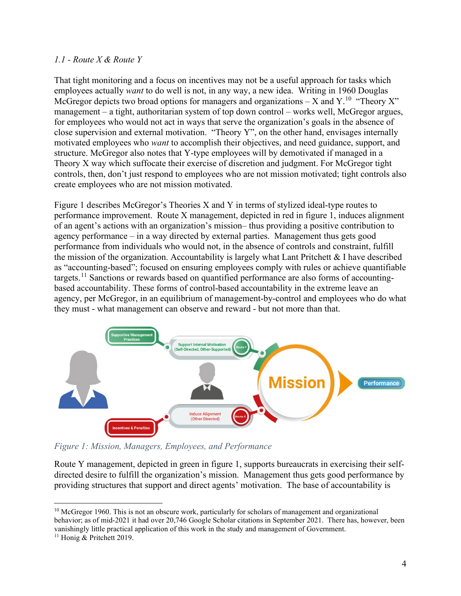#### *1.1 - Route X & Route Y*

That tight monitoring and a focus on incentives may not be a useful approach for tasks which employees actually *want* to do well is not, in any way, a new idea. Writing in 1960 Douglas McGregor depicts two broad options for managers and organizations – X and Y.<sup>10</sup> "Theory X" management – a tight, authoritarian system of top down control – works well, McGregor argues, for employees who would not act in ways that serve the organization's goals in the absence of close supervision and external motivation. "Theory Y", on the other hand, envisages internally motivated employees who *want* to accomplish their objectives, and need guidance, support, and structure. McGregor also notes that Y-type employees will by demotivated if managed in a Theory X way which suffocate their exercise of discretion and judgment. For McGregor tight controls, then, don't just respond to employees who are not mission motivated; tight controls also create employees who are not mission motivated.

Figure 1 describes McGregor's Theories X and Y in terms of stylized ideal-type routes to performance improvement. Route X management, depicted in red in figure 1, induces alignment of an agent's actions with an organization's mission– thus providing a positive contribution to agency performance – in a way directed by external parties. Management thus gets good performance from individuals who would not, in the absence of controls and constraint, fulfill the mission of the organization. Accountability is largely what Lant Pritchett  $\&$  I have described as "accounting-based"; focused on ensuring employees comply with rules or achieve quantifiable targets.<sup>[11](#page-4-1)</sup> Sanctions or rewards based on quantified performance are also forms of accountingbased accountability. These forms of control-based accountability in the extreme leave an agency, per McGregor, in an equilibrium of management-by-control and employees who do what they must - what management can observe and reward - but not more than that.



*Figure 1: Mission, Managers, Employees, and Performance*

Route Y management, depicted in green in figure 1, supports bureaucrats in exercising their selfdirected desire to fulfill the organization's mission. Management thus gets good performance by providing structures that support and direct agents' motivation. The base of accountability is

<span id="page-4-0"></span> $10$  McGregor 1960. This is not an obscure work, particularly for scholars of management and organizational behavior; as of mid-2021 it had over 20,746 Google Scholar citations in September 2021. There has, however, been vanishingly little practical application of this work in the study and management of Government.

<span id="page-4-1"></span><sup>&</sup>lt;sup>11</sup> Honig & Pritchett 2019.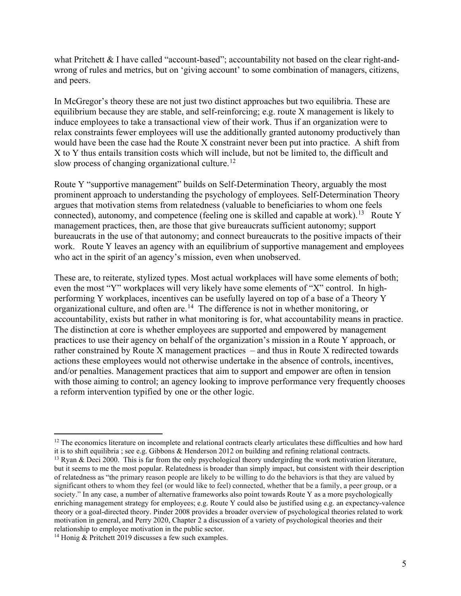what Pritchett & I have called "account-based"; accountability not based on the clear right-andwrong of rules and metrics, but on 'giving account' to some combination of managers, citizens, and peers.

In McGregor's theory these are not just two distinct approaches but two equilibria. These are equilibrium because they are stable, and self-reinforcing; e.g. route X management is likely to induce employees to take a transactional view of their work. Thus if an organization were to relax constraints fewer employees will use the additionally granted autonomy productively than would have been the case had the Route X constraint never been put into practice. A shift from X to Y thus entails transition costs which will include, but not be limited to, the difficult and slow process of changing organizational culture.<sup>[12](#page-5-0)</sup>

Route Y "supportive management" builds on Self-Determination Theory, arguably the most prominent approach to understanding the psychology of employees. Self-Determination Theory argues that motivation stems from relatedness (valuable to beneficiaries to whom one feels connected), autonomy, and competence (feeling one is skilled and capable at work).<sup>13</sup> Route Y management practices, then, are those that give bureaucrats sufficient autonomy; support bureaucrats in the use of that autonomy; and connect bureaucrats to the positive impacts of their work. Route Y leaves an agency with an equilibrium of supportive management and employees who act in the spirit of an agency's mission, even when unobserved.

These are, to reiterate, stylized types. Most actual workplaces will have some elements of both; even the most "Y" workplaces will very likely have some elements of "X" control. In highperforming Y workplaces, incentives can be usefully layered on top of a base of a Theory Y organizational culture, and often are.<sup>[14](#page-5-2)</sup> The difference is not in whether monitoring, or accountability, exists but rather in what monitoring is for, what accountability means in practice. The distinction at core is whether employees are supported and empowered by management practices to use their agency on behalf of the organization's mission in a Route Y approach, or rather constrained by Route X management practices – and thus in Route X redirected towards actions these employees would not otherwise undertake in the absence of controls, incentives, and/or penalties. Management practices that aim to support and empower are often in tension with those aiming to control; an agency looking to improve performance very frequently chooses a reform intervention typified by one or the other logic.

<span id="page-5-0"></span> $12$  The economics literature on incomplete and relational contracts clearly articulates these difficulties and how hard it is to shift equilibria ; see e.g. Gibbons & Henderson 2012 on building and refining relational contracts.

<span id="page-5-1"></span><sup>&</sup>lt;sup>13</sup> Ryan & Deci 2000. This is far from the only psychological theory undergirding the work motivation literature, but it seems to me the most popular. Relatedness is broader than simply impact, but consistent with their description of relatedness as "the primary reason people are likely to be willing to do the behaviors is that they are valued by significant others to whom they feel (or would like to feel) connected, whether that be a family, a peer group, or a society." In any case, a number of alternative frameworks also point towards Route Y as a more psychologically enriching management strategy for employees; e.g. Route Y could also be justified using e.g. an expectancy-valence theory or a goal-directed theory. Pinder 2008 provides a broader overview of psychological theories related to work motivation in general, and Perry 2020, Chapter 2 a discussion of a variety of psychological theories and their relationship to employee motivation in the public sector.

<span id="page-5-2"></span><sup>&</sup>lt;sup>14</sup> Honig & Pritchett 2019 discusses a few such examples.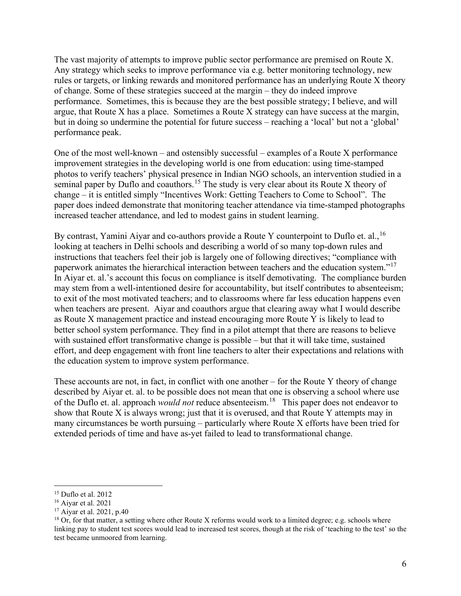The vast majority of attempts to improve public sector performance are premised on Route X. Any strategy which seeks to improve performance via e.g. better monitoring technology, new rules or targets, or linking rewards and monitored performance has an underlying Route X theory of change. Some of these strategies succeed at the margin – they do indeed improve performance. Sometimes, this is because they are the best possible strategy; I believe, and will argue, that Route X has a place. Sometimes a Route X strategy can have success at the margin, but in doing so undermine the potential for future success – reaching a 'local' but not a 'global' performance peak.

One of the most well-known – and ostensibly successful – examples of a Route X performance improvement strategies in the developing world is one from education: using time-stamped photos to verify teachers' physical presence in Indian NGO schools, an intervention studied in a seminal paper by Duflo and coauthors.<sup>[15](#page-6-0)</sup> The study is very clear about its Route X theory of change – it is entitled simply "Incentives Work: Getting Teachers to Come to School". The paper does indeed demonstrate that monitoring teacher attendance via time-stamped photographs increased teacher attendance, and led to modest gains in student learning.

By contrast, Yamini Aiyar and co-authors provide a Route Y counterpoint to Duflo et. al.,  $^{16}$  $^{16}$  $^{16}$ looking at teachers in Delhi schools and describing a world of so many top-down rules and instructions that teachers feel their job is largely one of following directives; "compliance with paperwork animates the hierarchical interaction between teachers and the education system."[17](#page-6-2)  In Aiyar et. al.'s account this focus on compliance is itself demotivating. The compliance burden may stem from a well-intentioned desire for accountability, but itself contributes to absenteeism; to exit of the most motivated teachers; and to classrooms where far less education happens even when teachers are present. Aiyar and coauthors argue that clearing away what I would describe as Route X management practice and instead encouraging more Route Y is likely to lead to better school system performance. They find in a pilot attempt that there are reasons to believe with sustained effort transformative change is possible – but that it will take time, sustained effort, and deep engagement with front line teachers to alter their expectations and relations with the education system to improve system performance.

These accounts are not, in fact, in conflict with one another – for the Route Y theory of change described by Aiyar et. al. to be possible does not mean that one is observing a school where use of the Duflo et. al. approach *would not* reduce absenteeism. [18](#page-6-3) This paper does not endeavor to show that Route X is always wrong; just that it is overused, and that Route Y attempts may in many circumstances be worth pursuing – particularly where Route X efforts have been tried for extended periods of time and have as-yet failed to lead to transformational change.

<span id="page-6-0"></span><sup>15</sup> Duflo et al. 2012

<span id="page-6-1"></span> $16$  Aivar et al. 2021

<span id="page-6-2"></span><sup>17</sup> Aiyar et al. 2021, p.40

<span id="page-6-3"></span> $^{18}$  Or, for that matter, a setting where other Route X reforms would work to a limited degree; e.g. schools where linking pay to student test scores would lead to increased test scores, though at the risk of 'teaching to the test' so the test became unmoored from learning.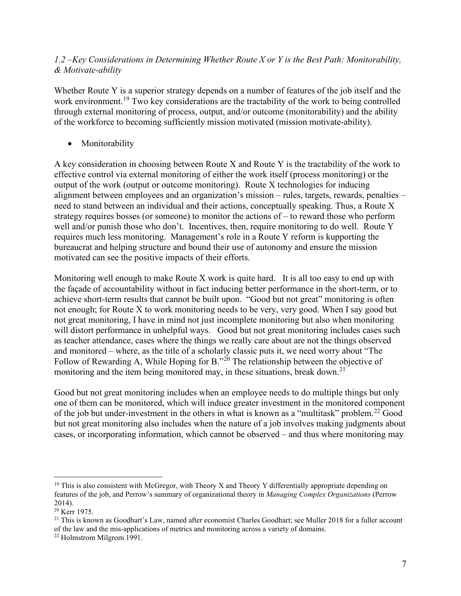# *1.2 –Key Considerations in Determining Whether Route X or Y is the Best Path: Monitorability, & Motivate-ability*

Whether Route Y is a superior strategy depends on a number of features of the job itself and the work environment.<sup>[19](#page-7-0)</sup> Two key considerations are the tractability of the work to being controlled through external monitoring of process, output, and/or outcome (monitorability) and the ability of the workforce to becoming sufficiently mission motivated (mission motivate-ability).

• Monitorability

A key consideration in choosing between Route X and Route Y is the tractability of the work to effective control via external monitoring of either the work itself (process monitoring) or the output of the work (output or outcome monitoring). Route X technologies for inducing alignment between employees and an organization's mission – rules, targets, rewards, penalties – need to stand between an individual and their actions, conceptually speaking. Thus, a Route X strategy requires bosses (or someone) to monitor the actions of – to reward those who perform well and/or punish those who don't. Incentives, then, require monitoring to do well. Route Y requires much less monitoring. Management's role in a Route Y reform is kupporting the bureaucrat and helping structure and bound their use of autonomy and ensure the mission motivated can see the positive impacts of their efforts.

Monitoring well enough to make Route X work is quite hard. It is all too easy to end up with the façade of accountability without in fact inducing better performance in the short-term, or to achieve short-term results that cannot be built upon. "Good but not great" monitoring is often not enough; for Route X to work monitoring needs to be very, very good. When I say good but not great monitoring, I have in mind not just incomplete monitoring but also when monitoring will distort performance in unhelpful ways. Good but not great monitoring includes cases such as teacher attendance, cases where the things we really care about are not the things observed and monitored – where, as the title of a scholarly classic puts it, we need worry about "The Follow of Rewarding A, While Hoping for B."<sup>[20](#page-7-1)</sup> The relationship between the objective of monitoring and the item being monitored may, in these situations, break down.<sup>[21](#page-7-2)</sup>

Good but not great monitoring includes when an employee needs to do multiple things but only one of them can be monitored, which will induce greater investment in the monitored component of the job but under-investment in the others in what is known as a "multitask" problem.<sup>[22](#page-7-3)</sup> Good but not great monitoring also includes when the nature of a job involves making judgments about cases, or incorporating information, which cannot be observed – and thus where monitoring may

<span id="page-7-0"></span> $19$  This is also consistent with McGregor, with Theory X and Theory Y differentially appropriate depending on features of the job, and Perrow's summary of organizational theory in *Managing Complex Organizations* (Perrow 2014).

<span id="page-7-1"></span><sup>&</sup>lt;sup>20</sup> Kerr 1975.

<span id="page-7-2"></span> $21$  This is known as Goodhart's Law, named after economist Charles Goodhart; see Muller 2018 for a fuller account of the law and the mis-applications of metrics and monitoring across a variety of domains.

<span id="page-7-3"></span><sup>22</sup> Holmstrom Milgrom 1991.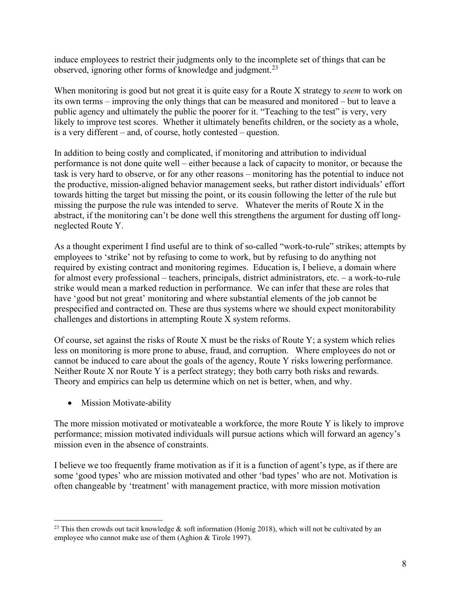induce employees to restrict their judgments only to the incomplete set of things that can be observed, ignoring other forms of knowledge and judgment.<sup>[23](#page-8-0)</sup>

When monitoring is good but not great it is quite easy for a Route X strategy to *seem* to work on its own terms – improving the only things that can be measured and monitored – but to leave a public agency and ultimately the public the poorer for it. "Teaching to the test" is very, very likely to improve test scores. Whether it ultimately benefits children, or the society as a whole, is a very different – and, of course, hotly contested – question.

In addition to being costly and complicated, if monitoring and attribution to individual performance is not done quite well – either because a lack of capacity to monitor, or because the task is very hard to observe, or for any other reasons – monitoring has the potential to induce not the productive, mission-aligned behavior management seeks, but rather distort individuals' effort towards hitting the target but missing the point, or its cousin following the letter of the rule but missing the purpose the rule was intended to serve. Whatever the merits of Route X in the abstract, if the monitoring can't be done well this strengthens the argument for dusting off longneglected Route Y.

As a thought experiment I find useful are to think of so-called "work-to-rule" strikes; attempts by employees to 'strike' not by refusing to come to work, but by refusing to do anything not required by existing contract and monitoring regimes. Education is, I believe, a domain where for almost every professional – teachers, principals, district administrators, etc. – a work-to-rule strike would mean a marked reduction in performance. We can infer that these are roles that have 'good but not great' monitoring and where substantial elements of the job cannot be prespecified and contracted on. These are thus systems where we should expect monitorability challenges and distortions in attempting Route X system reforms.

Of course, set against the risks of Route X must be the risks of Route Y; a system which relies less on monitoring is more prone to abuse, fraud, and corruption. Where employees do not or cannot be induced to care about the goals of the agency, Route Y risks lowering performance. Neither Route X nor Route Y is a perfect strategy; they both carry both risks and rewards. Theory and empirics can help us determine which on net is better, when, and why.

• Mission Motivate-ability

The more mission motivated or motivateable a workforce, the more Route Y is likely to improve performance; mission motivated individuals will pursue actions which will forward an agency's mission even in the absence of constraints.

I believe we too frequently frame motivation as if it is a function of agent's type, as if there are some 'good types' who are mission motivated and other 'bad types' who are not. Motivation is often changeable by 'treatment' with management practice, with more mission motivation

<span id="page-8-0"></span><sup>&</sup>lt;sup>23</sup> This then crowds out tacit knowledge  $\&$  soft information (Honig 2018), which will not be cultivated by an employee who cannot make use of them (Aghion & Tirole 1997).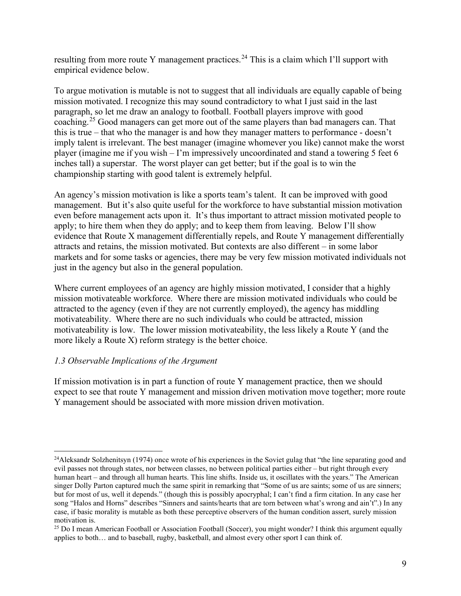resulting from more route Y management practices.<sup>[24](#page-9-0)</sup> This is a claim which I'll support with empirical evidence below.

To argue motivation is mutable is not to suggest that all individuals are equally capable of being mission motivated. I recognize this may sound contradictory to what I just said in the last paragraph, so let me draw an analogy to football. Football players improve with good coaching.[25](#page-9-1) Good managers can get more out of the same players than bad managers can. That this is true – that who the manager is and how they manager matters to performance - doesn't imply talent is irrelevant. The best manager (imagine whomever you like) cannot make the worst player (imagine me if you wish – I'm impressively uncoordinated and stand a towering 5 feet 6 inches tall) a superstar. The worst player can get better; but if the goal is to win the championship starting with good talent is extremely helpful.

An agency's mission motivation is like a sports team's talent. It can be improved with good management. But it's also quite useful for the workforce to have substantial mission motivation even before management acts upon it. It's thus important to attract mission motivated people to apply; to hire them when they do apply; and to keep them from leaving. Below I'll show evidence that Route X management differentially repels, and Route Y management differentially attracts and retains, the mission motivated. But contexts are also different – in some labor markets and for some tasks or agencies, there may be very few mission motivated individuals not just in the agency but also in the general population.

Where current employees of an agency are highly mission motivated, I consider that a highly mission motivateable workforce. Where there are mission motivated individuals who could be attracted to the agency (even if they are not currently employed), the agency has middling motivateability. Where there are no such individuals who could be attracted, mission motivateability is low. The lower mission motivateability, the less likely a Route Y (and the more likely a Route X) reform strategy is the better choice.

# *1.3 Observable Implications of the Argument*

If mission motivation is in part a function of route Y management practice, then we should expect to see that route Y management and mission driven motivation move together; more route Y management should be associated with more mission driven motivation.

<span id="page-9-0"></span><sup>&</sup>lt;sup>24</sup>Aleksandr Solzhenitsyn (1974) once wrote of his experiences in the Soviet gulag that "the line separating good and evil passes not through states, nor between classes, no between political parties either – but right through every human heart – and through all human hearts. This line shifts. Inside us, it oscillates with the years." The American singer Dolly Parton captured much the same spirit in remarking that "Some of us are saints; some of us are sinners; but for most of us, well it depends." (though this is possibly apocryphal; I can't find a firm citation. In any case her song "Halos and Horns" describes "Sinners and saints/hearts that are torn between what's wrong and ain't".) In any case, if basic morality is mutable as both these perceptive observers of the human condition assert, surely mission motivation is.

<span id="page-9-1"></span> $25$  Do I mean American Football or Association Football (Soccer), you might wonder? I think this argument equally applies to both… and to baseball, rugby, basketball, and almost every other sport I can think of.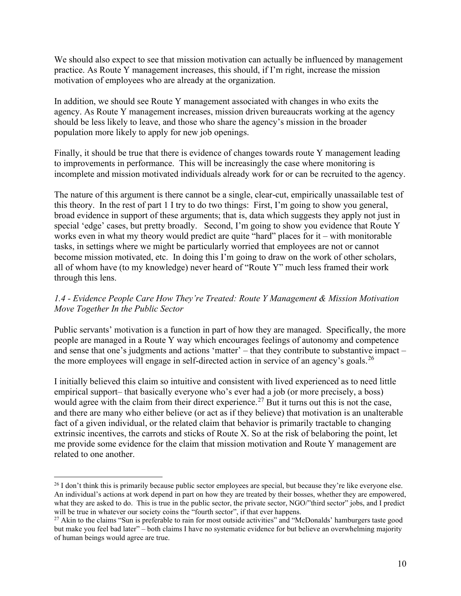We should also expect to see that mission motivation can actually be influenced by management practice. As Route Y management increases, this should, if I'm right, increase the mission motivation of employees who are already at the organization.

In addition, we should see Route Y management associated with changes in who exits the agency. As Route Y management increases, mission driven bureaucrats working at the agency should be less likely to leave, and those who share the agency's mission in the broader population more likely to apply for new job openings.

Finally, it should be true that there is evidence of changes towards route Y management leading to improvements in performance. This will be increasingly the case where monitoring is incomplete and mission motivated individuals already work for or can be recruited to the agency.

The nature of this argument is there cannot be a single, clear-cut, empirically unassailable test of this theory. In the rest of part 1 I try to do two things: First, I'm going to show you general, broad evidence in support of these arguments; that is, data which suggests they apply not just in special 'edge' cases, but pretty broadly. Second, I'm going to show you evidence that Route Y works even in what my theory would predict are quite "hard" places for it – with monitorable tasks, in settings where we might be particularly worried that employees are not or cannot become mission motivated, etc. In doing this I'm going to draw on the work of other scholars, all of whom have (to my knowledge) never heard of "Route Y" much less framed their work through this lens.

# *1.4 - Evidence People Care How They're Treated: Route Y Management & Mission Motivation Move Together In the Public Sector*

Public servants' motivation is a function in part of how they are managed. Specifically, the more people are managed in a Route Y way which encourages feelings of autonomy and competence and sense that one's judgments and actions 'matter' – that they contribute to substantive impact – the more employees will engage in self-directed action in service of an agency's goals.<sup>[26](#page-10-0)</sup>

I initially believed this claim so intuitive and consistent with lived experienced as to need little empirical support– that basically everyone who's ever had a job (or more precisely, a boss) would agree with the claim from their direct experience.<sup>[27](#page-10-1)</sup> But it turns out this is not the case, and there are many who either believe (or act as if they believe) that motivation is an unalterable fact of a given individual, or the related claim that behavior is primarily tractable to changing extrinsic incentives, the carrots and sticks of Route X. So at the risk of belaboring the point, let me provide some evidence for the claim that mission motivation and Route Y management are related to one another.

<span id="page-10-0"></span> $^{26}$  I don't think this is primarily because public sector employees are special, but because they're like everyone else. An individual's actions at work depend in part on how they are treated by their bosses, whether they are empowered, what they are asked to do. This is true in the public sector, the private sector, NGO/"third sector" jobs, and I predict will be true in whatever our society coins the "fourth sector", if that ever happens.

<span id="page-10-1"></span><sup>&</sup>lt;sup>27</sup> Akin to the claims "Sun is preferable to rain for most outside activities" and "McDonalds' hamburgers taste good but make you feel bad later" – both claims I have no systematic evidence for but believe an overwhelming majority of human beings would agree are true.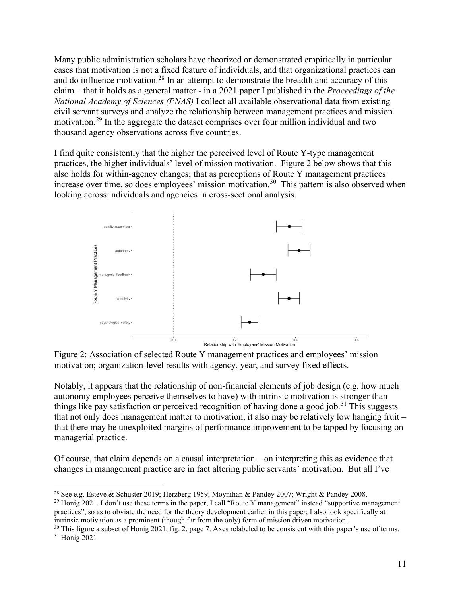Many public administration scholars have theorized or demonstrated empirically in particular cases that motivation is not a fixed feature of individuals, and that organizational practices can and do influence motivation.<sup>[28](#page-11-0)</sup> In an attempt to demonstrate the breadth and accuracy of this claim – that it holds as a general matter - in a 2021 paper I published in the *Proceedings of the National Academy of Sciences (PNAS)* I collect all available observational data from existing civil servant surveys and analyze the relationship between management practices and mission motivation.[29](#page-11-1) In the aggregate the dataset comprises over four million individual and two thousand agency observations across five countries.

I find quite consistently that the higher the perceived level of Route Y-type management practices, the higher individuals' level of mission motivation. Figure 2 below shows that this also holds for within-agency changes; that as perceptions of Route Y management practices increase over time, so does employees' mission motivation.<sup>30</sup> This pattern is also observed when looking across individuals and agencies in cross-sectional analysis.



Figure 2: Association of selected Route Y management practices and employees' mission motivation; organization-level results with agency, year, and survey fixed effects.

Notably, it appears that the relationship of non-financial elements of job design (e.g. how much autonomy employees perceive themselves to have) with intrinsic motivation is stronger than things like pay satisfaction or perceived recognition of having done a good job.<sup>[31](#page-11-3)</sup> This suggests that not only does management matter to motivation, it also may be relatively low hanging fruit – that there may be unexploited margins of performance improvement to be tapped by focusing on managerial practice.

Of course, that claim depends on a causal interpretation – on interpreting this as evidence that changes in management practice are in fact altering public servants' motivation. But all I've

<span id="page-11-0"></span><sup>&</sup>lt;sup>28</sup> See e.g. Esteve & Schuster 2019; Herzberg 1959; Moynihan & Pandey 2007; Wright & Pandey 2008.

<span id="page-11-1"></span><sup>&</sup>lt;sup>29</sup> Honig 2021. I don't use these terms in the paper; I call "Route Y management" instead "supportive management" practices", so as to obviate the need for the theory development earlier in this paper; I also look specifically at intrinsic motivation as a prominent (though far from the only) form of mission driven motivation.

<span id="page-11-3"></span><span id="page-11-2"></span> $30$  This figure a subset of Honig 2021, fig. 2, page 7. Axes relabeled to be consistent with this paper's use of terms. <sup>31</sup> Honig 2021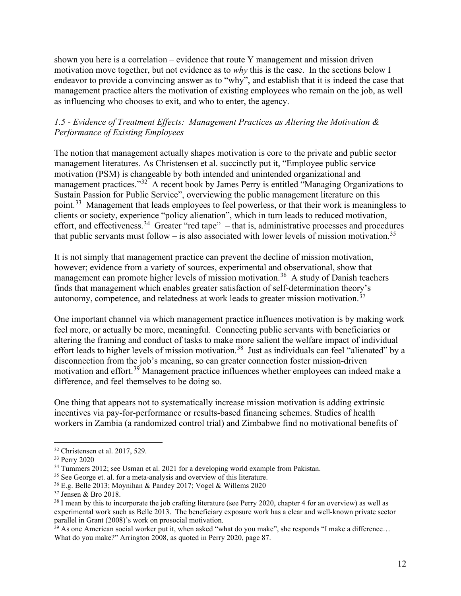shown you here is a correlation – evidence that route Y management and mission driven motivation move together, but not evidence as to *why* this is the case. In the sections below I endeavor to provide a convincing answer as to "why", and establish that it is indeed the case that management practice alters the motivation of existing employees who remain on the job, as well as influencing who chooses to exit, and who to enter, the agency.

# *1.5 - Evidence of Treatment Effects: Management Practices as Altering the Motivation & Performance of Existing Employees*

The notion that management actually shapes motivation is core to the private and public sector management literatures. As Christensen et al. succinctly put it, "Employee public service motivation (PSM) is changeable by both intended and unintended organizational and management practices."<sup>[32](#page-12-0)</sup> A recent book by James Perry is entitled "Managing Organizations to Sustain Passion for Public Service", overviewing the public management literature on this point.<sup>[33](#page-12-1)</sup> Management that leads employees to feel powerless, or that their work is meaningless to clients or society, experience "policy alienation", which in turn leads to reduced motivation, effort, and effectiveness.<sup>[34](#page-12-2)</sup> Greater "red tape" – that is, administrative processes and procedures that public servants must follow – is also associated with lower levels of mission motivation.<sup>[35](#page-12-3)</sup>

It is not simply that management practice can prevent the decline of mission motivation, however; evidence from a variety of sources, experimental and observational, show that management can promote higher levels of mission motivation.<sup>36</sup> A study of Danish teachers finds that management which enables greater satisfaction of self-determination theory's autonomy, competence, and relatedness at work leads to greater mission motivation.[37](#page-12-5)

One important channel via which management practice influences motivation is by making work feel more, or actually be more, meaningful. Connecting public servants with beneficiaries or altering the framing and conduct of tasks to make more salient the welfare impact of individual effort leads to higher levels of mission motivation.<sup>[38](#page-12-6)</sup> Just as individuals can feel "alienated" by a disconnection from the job's meaning, so can greater connection foster mission-driven motivation and effort.<sup>[39](#page-12-7)</sup> Management practice influences whether employees can indeed make a difference, and feel themselves to be doing so.

One thing that appears not to systematically increase mission motivation is adding extrinsic incentives via pay-for-performance or results-based financing schemes. Studies of health workers in Zambia (a randomized control trial) and Zimbabwe find no motivational benefits of

<span id="page-12-0"></span> $32$  Christensen et al. 2017, 529.

<span id="page-12-1"></span><sup>33</sup> Perry 2020

<span id="page-12-2"></span><sup>&</sup>lt;sup>34</sup> Tummers 2012; see Usman et al. 2021 for a developing world example from Pakistan.

<span id="page-12-3"></span><sup>&</sup>lt;sup>35</sup> See George et. al. for a meta-analysis and overview of this literature.

<span id="page-12-5"></span><span id="page-12-4"></span><sup>&</sup>lt;sup>36</sup> E.g. Belle 2013; Moynihan & Pandey 2017; Vogel & Willems 2020<sup>37</sup> Jensen & Bro 2018.

<span id="page-12-6"></span> $38$  I mean by this to incorporate the job crafting literature (see Perry 2020, chapter 4 for an overview) as well as experimental work such as Belle 2013. The beneficiary exposure work has a clear and well-known private sector

<span id="page-12-7"></span> $39$  As one American social worker put it, when asked "what do you make", she responds "I make a difference... What do you make?" Arrington 2008, as quoted in Perry 2020, page 87.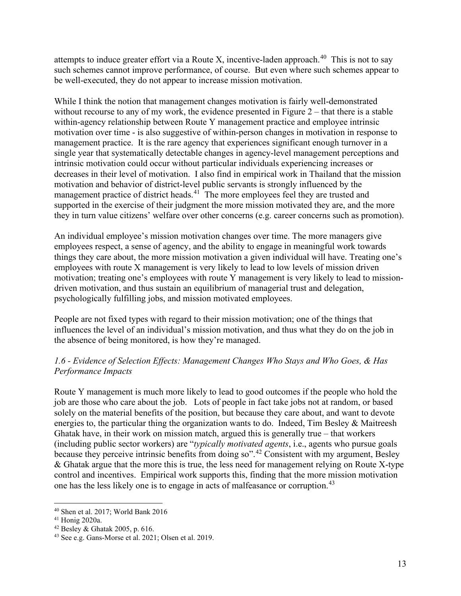attempts to induce greater effort via a Route X, incentive-laden approach.<sup>40</sup> This is not to say such schemes cannot improve performance, of course. But even where such schemes appear to be well-executed, they do not appear to increase mission motivation.

While I think the notion that management changes motivation is fairly well-demonstrated without recourse to any of my work, the evidence presented in Figure 2 – that there is a stable within-agency relationship between Route Y management practice and employee intrinsic motivation over time - is also suggestive of within-person changes in motivation in response to management practice. It is the rare agency that experiences significant enough turnover in a single year that systematically detectable changes in agency-level management perceptions and intrinsic motivation could occur without particular individuals experiencing increases or decreases in their level of motivation. I also find in empirical work in Thailand that the mission motivation and behavior of district-level public servants is strongly influenced by the management practice of district heads.<sup>41</sup> The more employees feel they are trusted and supported in the exercise of their judgment the more mission motivated they are, and the more they in turn value citizens' welfare over other concerns (e.g. career concerns such as promotion).

An individual employee's mission motivation changes over time. The more managers give employees respect, a sense of agency, and the ability to engage in meaningful work towards things they care about, the more mission motivation a given individual will have. Treating one's employees with route X management is very likely to lead to low levels of mission driven motivation; treating one's employees with route Y management is very likely to lead to missiondriven motivation, and thus sustain an equilibrium of managerial trust and delegation, psychologically fulfilling jobs, and mission motivated employees.

People are not fixed types with regard to their mission motivation; one of the things that influences the level of an individual's mission motivation, and thus what they do on the job in the absence of being monitored, is how they're managed.

# *1.6 - Evidence of Selection Effects: Management Changes Who Stays and Who Goes, & Has Performance Impacts*

Route Y management is much more likely to lead to good outcomes if the people who hold the job are those who care about the job. Lots of people in fact take jobs not at random, or based solely on the material benefits of the position, but because they care about, and want to devote energies to, the particular thing the organization wants to do. Indeed, Tim Besley & Maitreesh Ghatak have, in their work on mission match, argued this is generally true – that workers (including public sector workers) are "*typically motivated agents*, i.e., agents who pursue goals because they perceive intrinsic benefits from doing so".[42](#page-13-2) Consistent with my argument, Besley & Ghatak argue that the more this is true, the less need for management relying on Route X-type control and incentives. Empirical work supports this, finding that the more mission motivation one has the less likely one is to engage in acts of malfeasance or corruption.<sup>[43](#page-13-3)</sup>

<span id="page-13-0"></span><sup>40</sup> Shen et al. 2017; World Bank 2016

<span id="page-13-1"></span><sup>41</sup> Honig 2020a.

<span id="page-13-2"></span><sup>42</sup> Besley & Ghatak 2005, p. 616.

<span id="page-13-3"></span><sup>43</sup> See e.g. Gans-Morse et al. 2021; Olsen et al. 2019.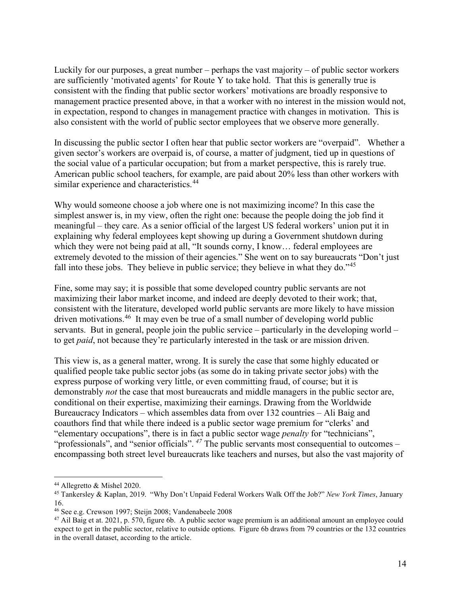Luckily for our purposes, a great number – perhaps the vast majority – of public sector workers are sufficiently 'motivated agents' for Route Y to take hold. That this is generally true is consistent with the finding that public sector workers' motivations are broadly responsive to management practice presented above, in that a worker with no interest in the mission would not, in expectation, respond to changes in management practice with changes in motivation. This is also consistent with the world of public sector employees that we observe more generally.

In discussing the public sector I often hear that public sector workers are "overpaid". Whether a given sector's workers are overpaid is, of course, a matter of judgment, tied up in questions of the social value of a particular occupation; but from a market perspective, this is rarely true. American public school teachers, for example, are paid about 20% less than other workers with similar experience and characteristics.<sup>[44](#page-14-0)</sup>

Why would someone choose a job where one is not maximizing income? In this case the simplest answer is, in my view, often the right one: because the people doing the job find it meaningful – they care. As a senior official of the largest US federal workers' union put it in explaining why federal employees kept showing up during a Government shutdown during which they were not being paid at all, "It sounds corny, I know... federal employees are extremely devoted to the mission of their agencies." She went on to say bureaucrats "Don't just fall into these jobs. They believe in public service; they believe in what they do."<sup>[45](#page-14-1)</sup>

Fine, some may say; it is possible that some developed country public servants are not maximizing their labor market income, and indeed are deeply devoted to their work; that, consistent with the literature, developed world public servants are more likely to have mission driven motivations.[46](#page-14-2) It may even be true of a small number of developing world public servants. But in general, people join the public service – particularly in the developing world – to get *paid*, not because they're particularly interested in the task or are mission driven.

This view is, as a general matter, wrong. It is surely the case that some highly educated or qualified people take public sector jobs (as some do in taking private sector jobs) with the express purpose of working very little, or even committing fraud, of course; but it is demonstrably *not* the case that most bureaucrats and middle managers in the public sector are, conditional on their expertise, maximizing their earnings. Drawing from the Worldwide Bureaucracy Indicators – which assembles data from over 132 countries – Ali Baig and coauthors find that while there indeed is a public sector wage premium for "clerks' and "elementary occupations", there is in fact a public sector wage *penalty* for "technicians", "professionals", and "senior officials". *[47](#page-14-3)* The public servants most consequential to outcomes – encompassing both street level bureaucrats like teachers and nurses, but also the vast majority of

<span id="page-14-0"></span><sup>44</sup> Allegretto & Mishel 2020.

<span id="page-14-1"></span><sup>45</sup> Tankersley & Kaplan, 2019. "Why Don't Unpaid Federal Workers Walk Off the Job?" *New York Times*, January 16.

<span id="page-14-2"></span><sup>46</sup> See e.g. Crewson 1997; Steijn 2008; Vandenabeele 2008

<span id="page-14-3"></span> $47$  Ail Baig et at. 2021, p. 570, figure 6b. A public sector wage premium is an additional amount an employee could expect to get in the public sector, relative to outside options. Figure 6b draws from 79 countries or the 132 countries in the overall dataset, according to the article.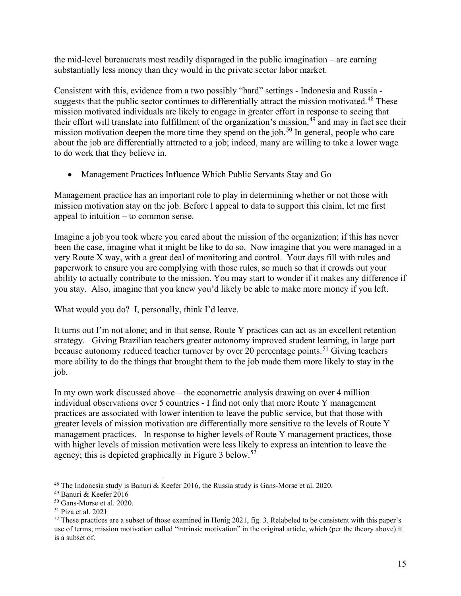the mid-level bureaucrats most readily disparaged in the public imagination – are earning substantially less money than they would in the private sector labor market.

Consistent with this, evidence from a two possibly "hard" settings - Indonesia and Russia - suggests that the public sector continues to differentially attract the mission motivated.<sup>[48](#page-15-0)</sup> These mission motivated individuals are likely to engage in greater effort in response to seeing that their effort will translate into fulfillment of the organization's mission,<sup>[49](#page-15-1)</sup> and may in fact see their mission motivation deepen the more time they spend on the job.<sup>[50](#page-15-2)</sup> In general, people who care about the job are differentially attracted to a job; indeed, many are willing to take a lower wage to do work that they believe in.

• Management Practices Influence Which Public Servants Stay and Go

Management practice has an important role to play in determining whether or not those with mission motivation stay on the job. Before I appeal to data to support this claim, let me first appeal to intuition – to common sense.

Imagine a job you took where you cared about the mission of the organization; if this has never been the case, imagine what it might be like to do so. Now imagine that you were managed in a very Route X way, with a great deal of monitoring and control. Your days fill with rules and paperwork to ensure you are complying with those rules, so much so that it crowds out your ability to actually contribute to the mission. You may start to wonder if it makes any difference if you stay. Also, imagine that you knew you'd likely be able to make more money if you left.

What would you do? I, personally, think I'd leave.

It turns out I'm not alone; and in that sense, Route Y practices can act as an excellent retention strategy. Giving Brazilian teachers greater autonomy improved student learning, in large part because autonomy reduced teacher turnover by over 20 percentage points. [51](#page-15-3) Giving teachers more ability to do the things that brought them to the job made them more likely to stay in the job.

In my own work discussed above – the econometric analysis drawing on over 4 million individual observations over 5 countries - I find not only that more Route Y management practices are associated with lower intention to leave the public service, but that those with greater levels of mission motivation are differentially more sensitive to the levels of Route Y management practices. In response to higher levels of Route Y management practices, those with higher levels of mission motivation were less likely to express an intention to leave the agency; this is depicted graphically in Figure 3 below.<sup>[52](#page-15-4)</sup>

<span id="page-15-0"></span><sup>48</sup> The Indonesia study is Banuri & Keefer 2016, the Russia study is Gans-Morse et al. 2020.

<span id="page-15-1"></span><sup>49</sup> Banuri & Keefer 2016

<span id="page-15-2"></span><sup>50</sup> Gans-Morse et al. 2020.

<span id="page-15-3"></span><sup>51</sup> Piza et al. 2021

<span id="page-15-4"></span> $52$  These practices are a subset of those examined in Honig 2021, fig. 3. Relabeled to be consistent with this paper's use of terms; mission motivation called "intrinsic motivation" in the original article, which (per the theory above) it is a subset of.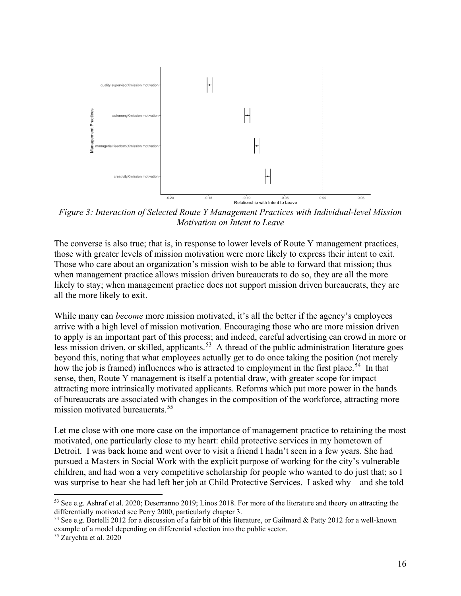

*Figure 3: Interaction of Selected Route Y Management Practices with Individual-level Mission Motivation on Intent to Leave* 

The converse is also true; that is, in response to lower levels of Route Y management practices, those with greater levels of mission motivation were more likely to express their intent to exit. Those who care about an organization's mission wish to be able to forward that mission; thus when management practice allows mission driven bureaucrats to do so, they are all the more likely to stay; when management practice does not support mission driven bureaucrats, they are all the more likely to exit.

While many can *become* more mission motivated, it's all the better if the agency's employees arrive with a high level of mission motivation. Encouraging those who are more mission driven to apply is an important part of this process; and indeed, careful advertising can crowd in more or less mission driven, or skilled, applicants.<sup>[53](#page-16-0)</sup> A thread of the public administration literature goes beyond this, noting that what employees actually get to do once taking the position (not merely how the job is framed) influences who is attracted to employment in the first place.<sup>54</sup> In that sense, then, Route Y management is itself a potential draw, with greater scope for impact attracting more intrinsically motivated applicants. Reforms which put more power in the hands of bureaucrats are associated with changes in the composition of the workforce, attracting more mission motivated bureaucrats.<sup>[55](#page-16-2)</sup>

Let me close with one more case on the importance of management practice to retaining the most motivated, one particularly close to my heart: child protective services in my hometown of Detroit. I was back home and went over to visit a friend I hadn't seen in a few years. She had pursued a Masters in Social Work with the explicit purpose of working for the city's vulnerable children, and had won a very competitive scholarship for people who wanted to do just that; so I was surprise to hear she had left her job at Child Protective Services. I asked why – and she told

<span id="page-16-0"></span><sup>53</sup> See e.g. Ashraf et al. 2020; Deserranno 2019; Linos 2018. For more of the literature and theory on attracting the differentially motivated see Perry 2000, particularly chapter 3.

<span id="page-16-1"></span><sup>54</sup> See e.g. Bertelli 2012 for a discussion of a fair bit of this literature, or Gailmard & Patty 2012 for a well-known example of a model depending on differential selection into the public sector.

<span id="page-16-2"></span><sup>55</sup> Zarychta et al. 2020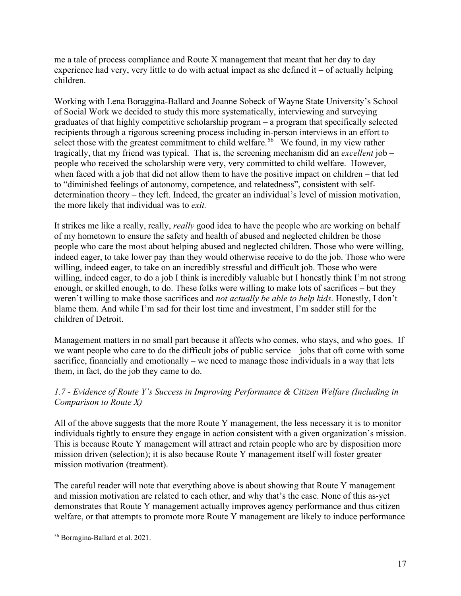me a tale of process compliance and Route X management that meant that her day to day experience had very, very little to do with actual impact as she defined it  $-$  of actually helping children.

Working with Lena Boraggina-Ballard and Joanne Sobeck of Wayne State University's School of Social Work we decided to study this more systematically, interviewing and surveying graduates of that highly competitive scholarship program – a program that specifically selected recipients through a rigorous screening process including in-person interviews in an effort to select those with the greatest commitment to child welfare.<sup>56</sup> We found, in my view rather tragically, that my friend was typical. That is, the screening mechanism did an *excellent* job – people who received the scholarship were very, very committed to child welfare. However, when faced with a job that did not allow them to have the positive impact on children – that led to "diminished feelings of autonomy, competence, and relatedness", consistent with selfdetermination theory – they left. Indeed, the greater an individual's level of mission motivation, the more likely that individual was to *exit.*

It strikes me like a really, really, *really* good idea to have the people who are working on behalf of my hometown to ensure the safety and health of abused and neglected children be those people who care the most about helping abused and neglected children. Those who were willing, indeed eager, to take lower pay than they would otherwise receive to do the job. Those who were willing, indeed eager, to take on an incredibly stressful and difficult job. Those who were willing, indeed eager, to do a job I think is incredibly valuable but I honestly think I'm not strong enough, or skilled enough, to do. These folks were willing to make lots of sacrifices – but they weren't willing to make those sacrifices and *not actually be able to help kids.* Honestly, I don't blame them. And while I'm sad for their lost time and investment, I'm sadder still for the children of Detroit.

Management matters in no small part because it affects who comes, who stays, and who goes. If we want people who care to do the difficult jobs of public service – jobs that oft come with some sacrifice, financially and emotionally – we need to manage those individuals in a way that lets them, in fact, do the job they came to do.

# *1.7 - Evidence of Route Y's Success in Improving Performance & Citizen Welfare (Including in Comparison to Route X)*

All of the above suggests that the more Route Y management, the less necessary it is to monitor individuals tightly to ensure they engage in action consistent with a given organization's mission. This is because Route Y management will attract and retain people who are by disposition more mission driven (selection); it is also because Route Y management itself will foster greater mission motivation (treatment).

The careful reader will note that everything above is about showing that Route Y management and mission motivation are related to each other, and why that's the case. None of this as-yet demonstrates that Route Y management actually improves agency performance and thus citizen welfare, or that attempts to promote more Route Y management are likely to induce performance

<span id="page-17-0"></span><sup>56</sup> Borragina-Ballard et al. 2021.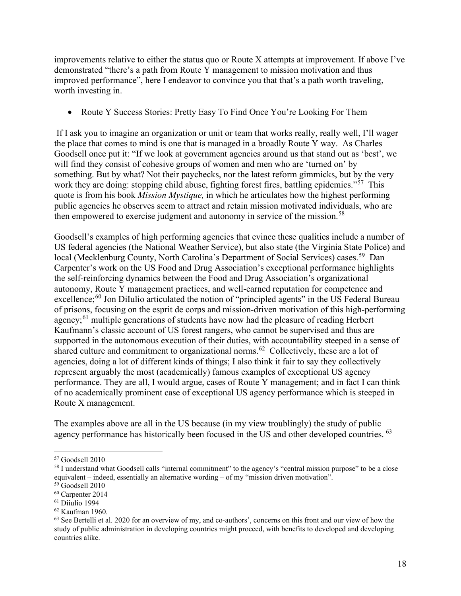improvements relative to either the status quo or Route X attempts at improvement. If above I've demonstrated "there's a path from Route Y management to mission motivation and thus improved performance", here I endeavor to convince you that that's a path worth traveling, worth investing in.

• Route Y Success Stories: Pretty Easy To Find Once You're Looking For Them

If I ask you to imagine an organization or unit or team that works really, really well, I'll wager the place that comes to mind is one that is managed in a broadly Route Y way. As Charles Goodsell once put it: "If we look at government agencies around us that stand out as 'best', we will find they consist of cohesive groups of women and men who are 'turned on' by something. But by what? Not their paychecks, nor the latest reform gimmicks, but by the very work they are doing: stopping child abuse, fighting forest fires, battling epidemics."<sup>[57](#page-18-0)</sup> This quote is from his book *Mission Mystique,* in which he articulates how the highest performing public agencies he observes seem to attract and retain mission motivated individuals, who are then empowered to exercise judgment and autonomy in service of the mission.<sup>[58](#page-18-1)</sup>

Goodsell's examples of high performing agencies that evince these qualities include a number of US federal agencies (the National Weather Service), but also state (the Virginia State Police) and local (Mecklenburg County, North Carolina's Department of Social Services) cases.<sup>59</sup> Dan Carpenter's work on the US Food and Drug Association's exceptional performance highlights the self-reinforcing dynamics between the Food and Drug Association's organizational autonomy, Route Y management practices, and well-earned reputation for competence and excellence; $^{60}$  $^{60}$  $^{60}$  Jon DiIulio articulated the notion of "principled agents" in the US Federal Bureau of prisons, focusing on the esprit de corps and mission-driven motivation of this high-performing agency;<sup>[61](#page-18-4)</sup> multiple generations of students have now had the pleasure of reading Herbert Kaufmann's classic account of US forest rangers, who cannot be supervised and thus are supported in the autonomous execution of their duties, with accountability steeped in a sense of shared culture and commitment to organizational norms.<sup>[62](#page-18-5)</sup> Collectively, these are a lot of agencies, doing a lot of different kinds of things; I also think it fair to say they collectively represent arguably the most (academically) famous examples of exceptional US agency performance. They are all, I would argue, cases of Route Y management; and in fact I can think of no academically prominent case of exceptional US agency performance which is steeped in Route X management.

The examples above are all in the US because (in my view troublingly) the study of public agency performance has historically been focused in the US and other developed countries. <sup>[63](#page-18-6)</sup>

<span id="page-18-0"></span><sup>57</sup> Goodsell 2010

<span id="page-18-1"></span><sup>&</sup>lt;sup>58</sup> I understand what Goodsell calls "internal commitment" to the agency's "central mission purpose" to be a close equivalent – indeed, essentially an alternative wording – of my "mission driven motivation".

<span id="page-18-2"></span><sup>59</sup> Goodsell 2010

<span id="page-18-3"></span><sup>60</sup> Carpenter 2014

<span id="page-18-4"></span> $61$  Diiulio 1994

<span id="page-18-5"></span><sup>62</sup> Kaufman 1960.

<span id="page-18-6"></span> $63$  See Bertelli et al. 2020 for an overview of my, and co-authors', concerns on this front and our view of how the study of public administration in developing countries might proceed, with benefits to developed and developing countries alike.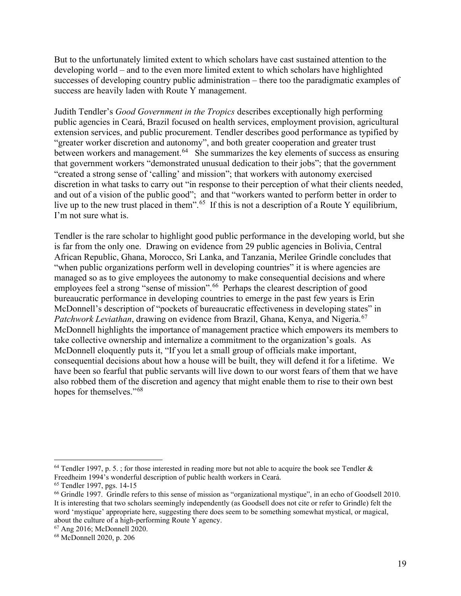But to the unfortunately limited extent to which scholars have cast sustained attention to the developing world – and to the even more limited extent to which scholars have highlighted successes of developing country public administration – there too the paradigmatic examples of success are heavily laden with Route Y management.

Judith Tendler's *Good Government in the Tropics* describes exceptionally high performing public agencies in Ceará, Brazil focused on health services, employment provision, agricultural extension services, and public procurement. Tendler describes good performance as typified by "greater worker discretion and autonomy", and both greater cooperation and greater trust between workers and management.  $64$  She summarizes the key elements of success as ensuring that government workers "demonstrated unusual dedication to their jobs"; that the government "created a strong sense of 'calling' and mission"; that workers with autonomy exercised discretion in what tasks to carry out "in response to their perception of what their clients needed, and out of a vision of the public good"; and that "workers wanted to perform better in order to live up to the new trust placed in them".<sup>[65](#page-19-1)</sup> If this is not a description of a Route Y equilibrium, I'm not sure what is.

Tendler is the rare scholar to highlight good public performance in the developing world, but she is far from the only one. Drawing on evidence from 29 public agencies in Bolivia, Central African Republic, Ghana, Morocco, Sri Lanka, and Tanzania, Merilee Grindle concludes that "when public organizations perform well in developing countries" it is where agencies are managed so as to give employees the autonomy to make consequential decisions and where employees feel a strong "sense of mission".<sup>[66](#page-19-2)</sup> Perhaps the clearest description of good bureaucratic performance in developing countries to emerge in the past few years is Erin McDonnell's description of "pockets of bureaucratic effectiveness in developing states" in *Patchwork Leviathan*, drawing on evidence from Brazil, Ghana, Kenya, and Nigeria.<sup>[67](#page-19-3)</sup> McDonnell highlights the importance of management practice which empowers its members to take collective ownership and internalize a commitment to the organization's goals. As McDonnell eloquently puts it, "If you let a small group of officials make important, consequential decisions about how a house will be built, they will defend it for a lifetime. We have been so fearful that public servants will live down to our worst fears of them that we have also robbed them of the discretion and agency that might enable them to rise to their own best hopes for themselves."<sup>[68](#page-19-4)</sup>

<span id="page-19-0"></span> $64$  Tendler 1997, p. 5.; for those interested in reading more but not able to acquire the book see Tendler & Freedheim 1994's wonderful description of public health workers in Ceará.

<span id="page-19-1"></span><sup>65</sup> Tendler 1997, pgs. 14-15

<span id="page-19-2"></span><sup>66</sup> Grindle 1997. Grindle refers to this sense of mission as "organizational mystique", in an echo of Goodsell 2010. It is interesting that two scholars seemingly independently (as Goodsell does not cite or refer to Grindle) felt the word 'mystique' appropriate here, suggesting there does seem to be something somewhat mystical, or magical, about the culture of a high-performing Route Y agency.

<span id="page-19-3"></span><sup>67</sup> Ang 2016; McDonnell 2020.

<span id="page-19-4"></span><sup>68</sup> McDonnell 2020, p. 206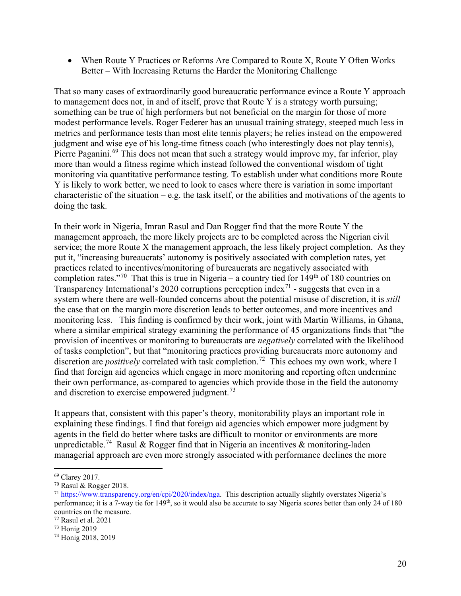• When Route Y Practices or Reforms Are Compared to Route X, Route Y Often Works Better – With Increasing Returns the Harder the Monitoring Challenge

That so many cases of extraordinarily good bureaucratic performance evince a Route Y approach to management does not, in and of itself, prove that Route Y is a strategy worth pursuing; something can be true of high performers but not beneficial on the margin for those of more modest performance levels. Roger Federer has an unusual training strategy, steeped much less in metrics and performance tests than most elite tennis players; he relies instead on the empowered judgment and wise eye of his long-time fitness coach (who interestingly does not play tennis), Pierre Paganini.<sup>[69](#page-20-0)</sup> This does not mean that such a strategy would improve my, far inferior, play more than would a fitness regime which instead followed the conventional wisdom of tight monitoring via quantitative performance testing. To establish under what conditions more Route Y is likely to work better, we need to look to cases where there is variation in some important characteristic of the situation – e.g. the task itself, or the abilities and motivations of the agents to doing the task.

In their work in Nigeria, Imran Rasul and Dan Rogger find that the more Route Y the management approach, the more likely projects are to be completed across the Nigerian civil service; the more Route X the management approach, the less likely project completion. As they put it, "increasing bureaucrats' autonomy is positively associated with completion rates, yet practices related to incentives/monitoring of bureaucrats are negatively associated with completion rates."<sup>70</sup> That this is true in Nigeria – a country tied for  $149<sup>th</sup>$  of 180 countries on Transparency International's 2020 corruptions perception index<sup>[71](#page-20-2)</sup> - suggests that even in a system where there are well-founded concerns about the potential misuse of discretion, it is *still*  the case that on the margin more discretion leads to better outcomes, and more incentives and monitoring less. This finding is confirmed by their work, joint with Martin Williams, in Ghana, where a similar empirical strategy examining the performance of 45 organizations finds that "the provision of incentives or monitoring to bureaucrats are *negatively* correlated with the likelihood of tasks completion", but that "monitoring practices providing bureaucrats more autonomy and discretion are *positively* correlated with task completion.<sup>[72](#page-20-3)</sup> This echoes my own work, where I find that foreign aid agencies which engage in more monitoring and reporting often undermine their own performance, as-compared to agencies which provide those in the field the autonomy and discretion to exercise empowered judgment.<sup>[73](#page-20-4)</sup>

It appears that, consistent with this paper's theory, monitorability plays an important role in explaining these findings. I find that foreign aid agencies which empower more judgment by agents in the field do better where tasks are difficult to monitor or environments are more unpredictable.<sup>74</sup> Rasul & Rogger find that in Nigeria an incentives & monitoring-laden managerial approach are even more strongly associated with performance declines the more

<span id="page-20-0"></span><sup>69</sup> Clarey 2017.

<span id="page-20-1"></span><sup>70</sup> Rasul & Rogger 2018.

<span id="page-20-2"></span><sup>71</sup> [https://www.transparency.org/en/cpi/2020/index/nga.](https://www.transparency.org/en/cpi/2020/index/nga) This description actually slightly overstates Nigeria's performance; it is a 7-way tie for 149<sup>th</sup>, so it would also be accurate to say Nigeria scores better than only 24 of 180 countries on the measure.

<span id="page-20-3"></span><sup>72</sup> Rasul et al. 2021

<span id="page-20-4"></span><sup>73</sup> Honig 2019

<span id="page-20-5"></span><sup>74</sup> Honig 2018, 2019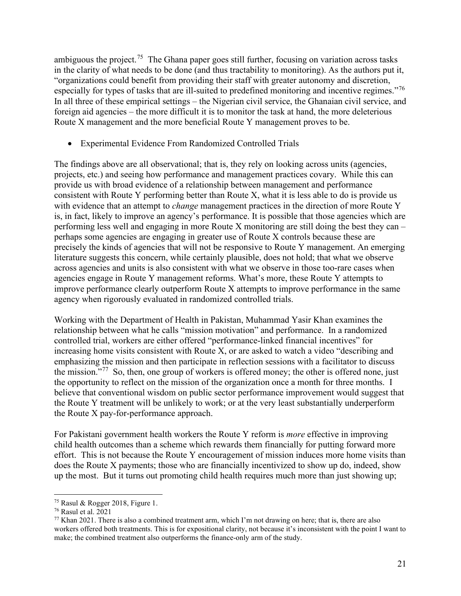ambiguous the project.<sup>[75](#page-21-0)</sup> The Ghana paper goes still further, focusing on variation across tasks in the clarity of what needs to be done (and thus tractability to monitoring). As the authors put it, "organizations could benefit from providing their staff with greater autonomy and discretion, especially for types of tasks that are ill-suited to predefined monitoring and incentive regimes."<sup>[76](#page-21-1)</sup> In all three of these empirical settings – the Nigerian civil service, the Ghanaian civil service, and foreign aid agencies – the more difficult it is to monitor the task at hand, the more deleterious Route X management and the more beneficial Route Y management proves to be.

• Experimental Evidence From Randomized Controlled Trials

The findings above are all observational; that is, they rely on looking across units (agencies, projects, etc.) and seeing how performance and management practices covary. While this can provide us with broad evidence of a relationship between management and performance consistent with Route Y performing better than Route X, what it is less able to do is provide us with evidence that an attempt to *change* management practices in the direction of more Route Y is, in fact, likely to improve an agency's performance. It is possible that those agencies which are performing less well and engaging in more Route X monitoring are still doing the best they can – perhaps some agencies are engaging in greater use of Route X controls because these are precisely the kinds of agencies that will not be responsive to Route Y management. An emerging literature suggests this concern, while certainly plausible, does not hold; that what we observe across agencies and units is also consistent with what we observe in those too-rare cases when agencies engage in Route Y management reforms. What's more, these Route Y attempts to improve performance clearly outperform Route X attempts to improve performance in the same agency when rigorously evaluated in randomized controlled trials.

Working with the Department of Health in Pakistan, Muhammad Yasir Khan examines the relationship between what he calls "mission motivation" and performance. In a randomized controlled trial, workers are either offered "performance-linked financial incentives" for increasing home visits consistent with Route X, or are asked to watch a video "describing and emphasizing the mission and then participate in reflection sessions with a facilitator to discuss the mission."<sup>[77](#page-21-2)</sup> So, then, one group of workers is offered money; the other is offered none, just the opportunity to reflect on the mission of the organization once a month for three months. I believe that conventional wisdom on public sector performance improvement would suggest that the Route Y treatment will be unlikely to work; or at the very least substantially underperform the Route X pay-for-performance approach.

For Pakistani government health workers the Route Y reform is *more* effective in improving child health outcomes than a scheme which rewards them financially for putting forward more effort. This is not because the Route Y encouragement of mission induces more home visits than does the Route X payments; those who are financially incentivized to show up do, indeed, show up the most. But it turns out promoting child health requires much more than just showing up;

<span id="page-21-0"></span><sup>75</sup> Rasul & Rogger 2018, Figure 1.

<span id="page-21-1"></span><sup>76</sup> Rasul et al. 2021

<span id="page-21-2"></span> $77$  Khan 2021. There is also a combined treatment arm, which I'm not drawing on here; that is, there are also workers offered both treatments. This is for expositional clarity, not because it's inconsistent with the point I want to make; the combined treatment also outperforms the finance-only arm of the study.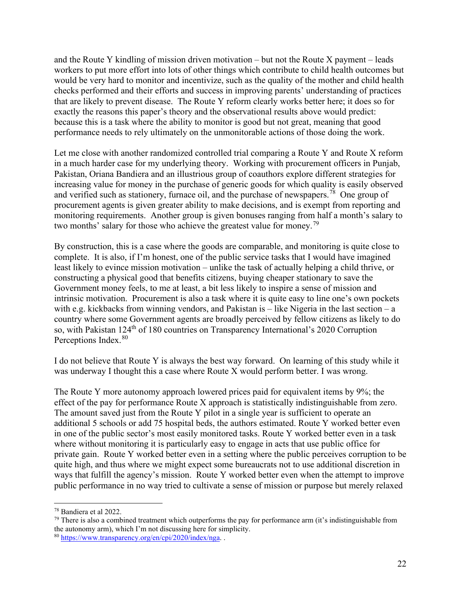and the Route Y kindling of mission driven motivation – but not the Route X payment – leads workers to put more effort into lots of other things which contribute to child health outcomes but would be very hard to monitor and incentivize, such as the quality of the mother and child health checks performed and their efforts and success in improving parents' understanding of practices that are likely to prevent disease. The Route Y reform clearly works better here; it does so for exactly the reasons this paper's theory and the observational results above would predict: because this is a task where the ability to monitor is good but not great, meaning that good performance needs to rely ultimately on the unmonitorable actions of those doing the work.

Let me close with another randomized controlled trial comparing a Route Y and Route X reform in a much harder case for my underlying theory. Working with procurement officers in Punjab, Pakistan, Oriana Bandiera and an illustrious group of coauthors explore different strategies for increasing value for money in the purchase of generic goods for which quality is easily observed and verified such as stationery, furnace oil, and the purchase of newspapers.[78](#page-22-0) One group of procurement agents is given greater ability to make decisions, and is exempt from reporting and monitoring requirements. Another group is given bonuses ranging from half a month's salary to two months' salary for those who achieve the greatest value for money.<sup>[79](#page-22-1)</sup>

By construction, this is a case where the goods are comparable, and monitoring is quite close to complete. It is also, if I'm honest, one of the public service tasks that I would have imagined least likely to evince mission motivation – unlike the task of actually helping a child thrive, or constructing a physical good that benefits citizens, buying cheaper stationary to save the Government money feels, to me at least, a bit less likely to inspire a sense of mission and intrinsic motivation. Procurement is also a task where it is quite easy to line one's own pockets with e.g. kickbacks from winning vendors, and Pakistan is – like Nigeria in the last section – a country where some Government agents are broadly perceived by fellow citizens as likely to do so, with Pakistan 124<sup>th</sup> of 180 countries on Transparency International's 2020 Corruption Perceptions Index.<sup>[80](#page-22-2)</sup>

I do not believe that Route Y is always the best way forward. On learning of this study while it was underway I thought this a case where Route X would perform better. I was wrong.

The Route Y more autonomy approach lowered prices paid for equivalent items by 9%; the effect of the pay for performance Route X approach is statistically indistinguishable from zero. The amount saved just from the Route Y pilot in a single year is sufficient to operate an additional 5 schools or add 75 hospital beds, the authors estimated. Route Y worked better even in one of the public sector's most easily monitored tasks. Route Y worked better even in a task where without monitoring it is particularly easy to engage in acts that use public office for private gain. Route Y worked better even in a setting where the public perceives corruption to be quite high, and thus where we might expect some bureaucrats not to use additional discretion in ways that fulfill the agency's mission. Route Y worked better even when the attempt to improve public performance in no way tried to cultivate a sense of mission or purpose but merely relaxed

<span id="page-22-0"></span><sup>78</sup> Bandiera et al 2022.

<span id="page-22-1"></span> $79$  There is also a combined treatment which outperforms the pay for performance arm (it's indistinguishable from the autonomy arm), which I'm not discussing here for simplicity.

<span id="page-22-2"></span><sup>80</sup> [https://www.transparency.org/en/cpi/2020/index/nga.](https://www.transparency.org/en/cpi/2020/index/nga) .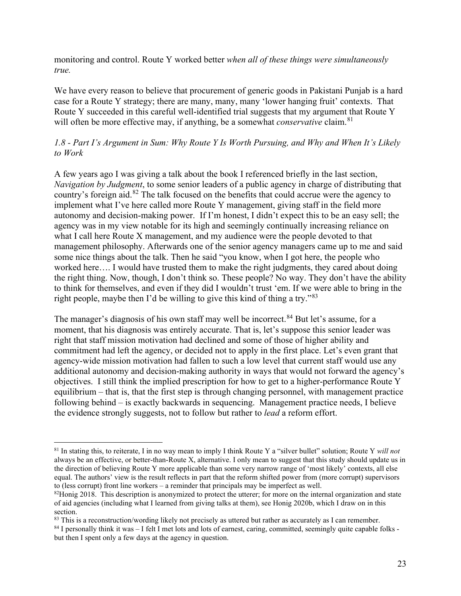monitoring and control. Route Y worked better *when all of these things were simultaneously true.*

We have every reason to believe that procurement of generic goods in Pakistani Punjab is a hard case for a Route Y strategy; there are many, many, many 'lower hanging fruit' contexts. That Route Y succeeded in this careful well-identified trial suggests that my argument that Route Y will often be more effective may, if anything, be a somewhat *conservative* claim.<sup>[81](#page-23-0)</sup>

#### *1.8 - Part I's Argument in Sum: Why Route Y Is Worth Pursuing, and Why and When It's Likely to Work*

A few years ago I was giving a talk about the book I referenced briefly in the last section, *Navigation by Judgment*, to some senior leaders of a public agency in charge of distributing that country's foreign aid.[82](#page-23-1) The talk focused on the benefits that could accrue were the agency to implement what I've here called more Route Y management, giving staff in the field more autonomy and decision-making power. If I'm honest, I didn't expect this to be an easy sell; the agency was in my view notable for its high and seemingly continually increasing reliance on what I call here Route X management, and my audience were the people devoted to that management philosophy. Afterwards one of the senior agency managers came up to me and said some nice things about the talk. Then he said "you know, when I got here, the people who worked here…. I would have trusted them to make the right judgments, they cared about doing the right thing. Now, though, I don't think so. These people? No way. They don't have the ability to think for themselves, and even if they did I wouldn't trust 'em. If we were able to bring in the right people, maybe then I'd be willing to give this kind of thing a try."<sup>[83](#page-23-2)</sup>

The manager's diagnosis of his own staff may well be incorrect.<sup>[84](#page-23-3)</sup> But let's assume, for a moment, that his diagnosis was entirely accurate. That is, let's suppose this senior leader was right that staff mission motivation had declined and some of those of higher ability and commitment had left the agency, or decided not to apply in the first place. Let's even grant that agency-wide mission motivation had fallen to such a low level that current staff would use any additional autonomy and decision-making authority in ways that would not forward the agency's objectives. I still think the implied prescription for how to get to a higher-performance Route Y equilibrium – that is, that the first step is through changing personnel, with management practice following behind – is exactly backwards in sequencing. Management practice needs, I believe the evidence strongly suggests, not to follow but rather to *lead* a reform effort.

<span id="page-23-0"></span><sup>81</sup> In stating this, to reiterate, I in no way mean to imply I think Route Y a "silver bullet" solution; Route Y *will not*  always be an effective, or better-than-Route X, alternative. I only mean to suggest that this study should update us in the direction of believing Route Y more applicable than some very narrow range of 'most likely' contexts, all else equal. The authors' view is the result reflects in part that the reform shifted power from (more corrupt) supervisors to (less corrupt) front line workers – a reminder that principals may be imperfect as well.

<span id="page-23-1"></span> $82$ Honig 2018. This description is anonymized to protect the utterer; for more on the internal organization and state of aid agencies (including what I learned from giving talks at them), see Honig 2020b, which I draw on in this section.

<span id="page-23-2"></span><sup>&</sup>lt;sup>83</sup> This is a reconstruction/wording likely not precisely as uttered but rather as accurately as I can remember.

<span id="page-23-3"></span><sup>&</sup>lt;sup>84</sup> I personally think it was – I felt I met lots and lots of earnest, caring, committed, seemingly quite capable folks but then I spent only a few days at the agency in question.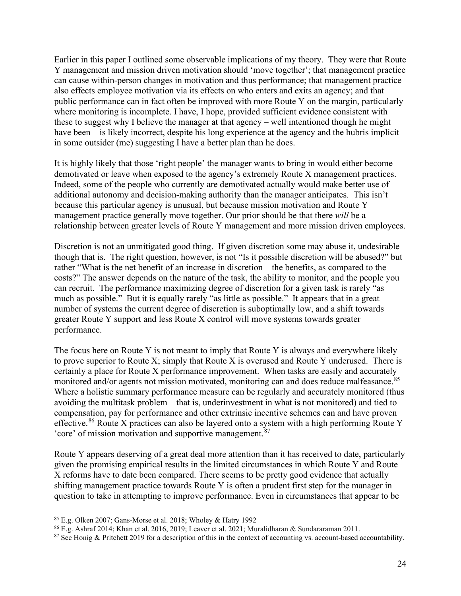Earlier in this paper I outlined some observable implications of my theory. They were that Route Y management and mission driven motivation should 'move together'; that management practice can cause within-person changes in motivation and thus performance; that management practice also effects employee motivation via its effects on who enters and exits an agency; and that public performance can in fact often be improved with more Route Y on the margin, particularly where monitoring is incomplete. I have, I hope, provided sufficient evidence consistent with these to suggest why I believe the manager at that agency – well intentioned though he might have been – is likely incorrect, despite his long experience at the agency and the hubris implicit in some outsider (me) suggesting I have a better plan than he does.

It is highly likely that those 'right people' the manager wants to bring in would either become demotivated or leave when exposed to the agency's extremely Route X management practices. Indeed, some of the people who currently are demotivated actually would make better use of additional autonomy and decision-making authority than the manager anticipates*.* This isn't because this particular agency is unusual, but because mission motivation and Route Y management practice generally move together. Our prior should be that there *will* be a relationship between greater levels of Route Y management and more mission driven employees.

Discretion is not an unmitigated good thing. If given discretion some may abuse it, undesirable though that is. The right question, however, is not "Is it possible discretion will be abused?" but rather "What is the net benefit of an increase in discretion – the benefits, as compared to the costs?" The answer depends on the nature of the task, the ability to monitor, and the people you can recruit. The performance maximizing degree of discretion for a given task is rarely "as much as possible." But it is equally rarely "as little as possible." It appears that in a great number of systems the current degree of discretion is suboptimally low, and a shift towards greater Route Y support and less Route X control will move systems towards greater performance.

The focus here on Route Y is not meant to imply that Route Y is always and everywhere likely to prove superior to Route X; simply that Route X is overused and Route Y underused. There is certainly a place for Route X performance improvement. When tasks are easily and accurately monitored and/or agents not mission motivated, monitoring can and does reduce malfeasance.<sup>85</sup> Where a holistic summary performance measure can be regularly and accurately monitored (thus avoiding the multitask problem – that is, underinvestment in what is not monitored) and tied to compensation, pay for performance and other extrinsic incentive schemes can and have proven effective.<sup>[86](#page-24-1)</sup> Route X practices can also be layered onto a system with a high performing Route Y 'core' of mission motivation and supportive management.[87](#page-24-2)

Route Y appears deserving of a great deal more attention than it has received to date, particularly given the promising empirical results in the limited circumstances in which Route Y and Route X reforms have to date been compared. There seems to be pretty good evidence that actually shifting management practice towards Route Y is often a prudent first step for the manager in question to take in attempting to improve performance. Even in circumstances that appear to be

<span id="page-24-0"></span><sup>85</sup> E.g. Olken 2007; Gans-Morse et al. 2018; Wholey & Hatry 1992

<span id="page-24-1"></span><sup>86</sup> E.g. Ashraf 2014; Khan et al. 2016, 2019; Leaver et al. 2021; Muralidharan & Sundararaman 2011.

<span id="page-24-2"></span><sup>&</sup>lt;sup>87</sup> See Honig & Pritchett 2019 for a description of this in the context of accounting vs. account-based accountability.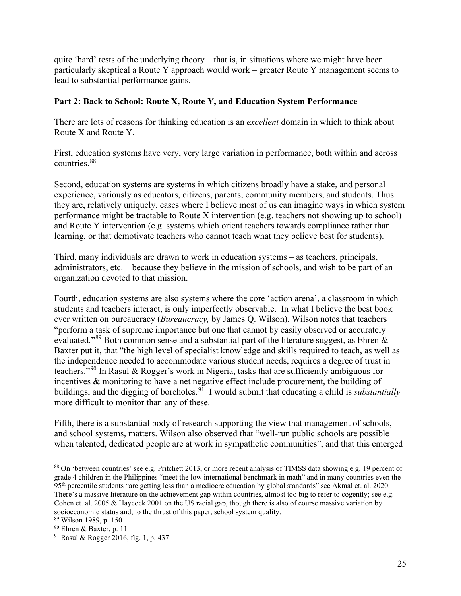quite 'hard' tests of the underlying theory – that is, in situations where we might have been particularly skeptical a Route Y approach would work – greater Route Y management seems to lead to substantial performance gains.

#### **Part 2: Back to School: Route X, Route Y, and Education System Performance**

There are lots of reasons for thinking education is an *excellent* domain in which to think about Route X and Route Y.

First, education systems have very, very large variation in performance, both within and across countries.[88](#page-25-0)

Second, education systems are systems in which citizens broadly have a stake, and personal experience, variously as educators, citizens, parents, community members, and students. Thus they are, relatively uniquely, cases where I believe most of us can imagine ways in which system performance might be tractable to Route X intervention (e.g. teachers not showing up to school) and Route Y intervention (e.g. systems which orient teachers towards compliance rather than learning, or that demotivate teachers who cannot teach what they believe best for students).

Third, many individuals are drawn to work in education systems – as teachers, principals, administrators, etc. – because they believe in the mission of schools, and wish to be part of an organization devoted to that mission.

Fourth, education systems are also systems where the core 'action arena', a classroom in which students and teachers interact, is only imperfectly observable. In what I believe the best book ever written on bureaucracy (*Bureaucracy,* by James Q. Wilson), Wilson notes that teachers "perform a task of supreme importance but one that cannot by easily observed or accurately evaluated."[89](#page-25-1) Both common sense and a substantial part of the literature suggest, as Ehren & Baxter put it, that "the high level of specialist knowledge and skills required to teach, as well as the independence needed to accommodate various student needs, requires a degree of trust in teachers."[90](#page-25-2) In Rasul & Rogger's work in Nigeria, tasks that are sufficiently ambiguous for incentives & monitoring to have a net negative effect include procurement, the building of buildings, and the digging of boreholes.<sup>91</sup> I would submit that educating a child is *substantially* more difficult to monitor than any of these.

Fifth, there is a substantial body of research supporting the view that management of schools, and school systems, matters. Wilson also observed that "well-run public schools are possible when talented, dedicated people are at work in sympathetic communities", and that this emerged

<span id="page-25-0"></span><sup>88</sup> On 'between countries' see e.g. Pritchett 2013, or more recent analysis of TIMSS data showing e.g. 19 percent of grade 4 children in the Philippines "meet the low international benchmark in math" and in many countries even the 95th percentile students "are getting less than a mediocre education by global standards" see Akmal et. al. 2020. There's a massive literature on the achievement gap within countries, almost too big to refer to cogently; see e.g. Cohen et. al. 2005 & Haycock 2001 on the US racial gap, though there is also of course massive variation by socioeconomic status and, to the thrust of this paper, school system quality. <sup>89</sup> Wilson 1989, p. 150

<span id="page-25-3"></span><span id="page-25-2"></span><span id="page-25-1"></span><sup>90</sup> Ehren & Baxter, p. 11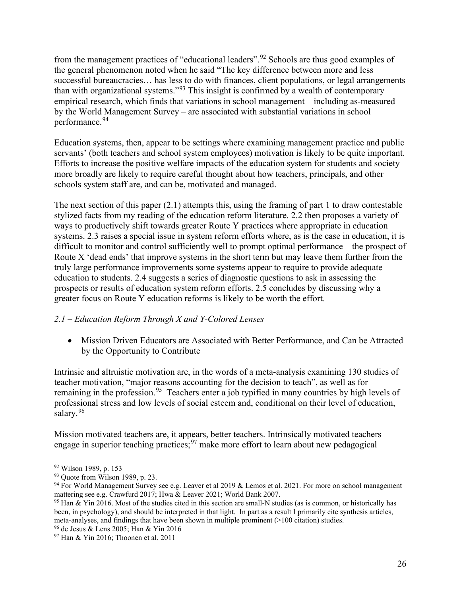from the management practices of "educational leaders".[92](#page-26-0) Schools are thus good examples of the general phenomenon noted when he said "The key difference between more and less successful bureaucracies... has less to do with finances, client populations, or legal arrangements than with organizational systems."<sup>[93](#page-26-1)</sup> This insight is confirmed by a wealth of contemporary empirical research, which finds that variations in school management – including as-measured by the World Management Survey – are associated with substantial variations in school performance.<sup>[94](#page-26-2)</sup>

Education systems, then, appear to be settings where examining management practice and public servants' (both teachers and school system employees) motivation is likely to be quite important. Efforts to increase the positive welfare impacts of the education system for students and society more broadly are likely to require careful thought about how teachers, principals, and other schools system staff are, and can be, motivated and managed.

The next section of this paper  $(2.1)$  attempts this, using the framing of part 1 to draw contestable stylized facts from my reading of the education reform literature. 2.2 then proposes a variety of ways to productively shift towards greater Route Y practices where appropriate in education systems. 2.3 raises a special issue in system reform efforts where, as is the case in education, it is difficult to monitor and control sufficiently well to prompt optimal performance – the prospect of Route X 'dead ends' that improve systems in the short term but may leave them further from the truly large performance improvements some systems appear to require to provide adequate education to students. 2.4 suggests a series of diagnostic questions to ask in assessing the prospects or results of education system reform efforts. 2.5 concludes by discussing why a greater focus on Route Y education reforms is likely to be worth the effort.

# *2.1 – Education Reform Through X and Y-Colored Lenses*

• Mission Driven Educators are Associated with Better Performance, and Can be Attracted by the Opportunity to Contribute

Intrinsic and altruistic motivation are, in the words of a meta-analysis examining 130 studies of teacher motivation, "major reasons accounting for the decision to teach", as well as for remaining in the profession.<sup>[95](#page-26-3)</sup> Teachers enter a job typified in many countries by high levels of professional stress and low levels of social esteem and, conditional on their level of education, salary.<sup>[96](#page-26-4)</sup>

Mission motivated teachers are, it appears, better teachers. Intrinsically motivated teachers engage in superior teaching practices;  $97$  make more effort to learn about new pedagogical

<span id="page-26-1"></span><span id="page-26-0"></span> $\frac{92}{93}$  Wilson 1989, p. 153<br> $\frac{93}{93}$  Ouote from Wilson 1989, p. 23.

<span id="page-26-2"></span><sup>&</sup>lt;sup>94</sup> For World Management Survey see e.g. Leaver et al 2019 & Lemos et al. 2021. For more on school management mattering see e.g. Crawfurd 2017; Hwa & Leaver 2021; World Bank 2007.

<span id="page-26-3"></span><sup>&</sup>lt;sup>95</sup> Han & Yin 2016. Most of the studies cited in this section are small-N studies (as is common, or historically has been, in psychology), and should be interpreted in that light. In part as a result I primarily cite synthesis articles, meta-analyses, and findings that have been shown in multiple prominent (>100 citation) studies.

<span id="page-26-4"></span><sup>96</sup> de Jesus & Lens 2005; Han & Yin 2016

<span id="page-26-5"></span><sup>97</sup> Han & Yin 2016; Thoonen et al. 2011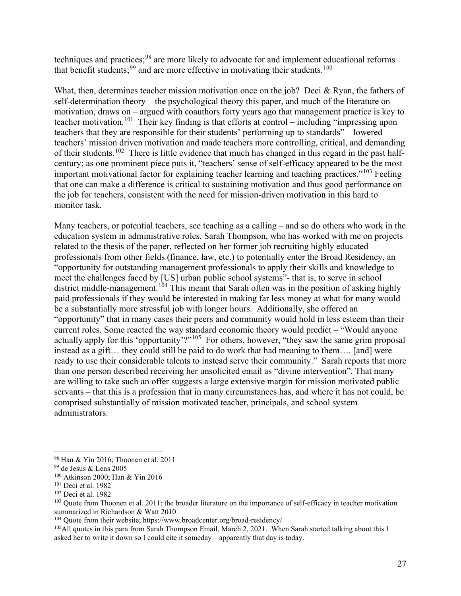techniques and practices;<sup>[98](#page-27-0)</sup> are more likely to advocate for and implement educational reforms that benefit students;  $99$  and are more effective in motivating their students.<sup>100</sup>

What, then, determines teacher mission motivation once on the job? Deci & Ryan, the fathers of self-determination theory – the psychological theory this paper, and much of the literature on motivation, draws on – argued with coauthors forty years ago that management practice is key to teacher motivation.<sup>[101](#page-27-3)</sup> Their key finding is that efforts at control – including "impressing upon teachers that they are responsible for their students' performing up to standards" – lowered teachers' mission driven motivation and made teachers more controlling, critical, and demanding of their students.<sup>[102](#page-27-4)</sup> There is little evidence that much has changed in this regard in the past halfcentury; as one prominent piece puts it, "teachers' sense of self-efficacy appeared to be the most important motivational factor for explaining teacher learning and teaching practices."<sup>[103](#page-27-5)</sup> Feeling that one can make a difference is critical to sustaining motivation and thus good performance on the job for teachers, consistent with the need for mission-driven motivation in this hard to monitor task.

Many teachers, or potential teachers, see teaching as a calling – and so do others who work in the education system in administrative roles. Sarah Thompson, who has worked with me on projects related to the thesis of the paper, reflected on her former job recruiting highly educated professionals from other fields (finance, law, etc.) to potentially enter the Broad Residency, an "opportunity for outstanding management professionals to apply their skills and knowledge to meet the challenges faced by [US] urban public school systems"- that is, to serve in school district middle-management.<sup>[104](#page-27-6)</sup> This meant that Sarah often was in the position of asking highly paid professionals if they would be interested in making far less money at what for many would be a substantially more stressful job with longer hours. Additionally, she offered an "opportunity" that in many cases their peers and community would hold in less esteem than their current roles. Some reacted the way standard economic theory would predict – "Would anyone actually apply for this 'opportunity'?"<sup>[105](#page-27-7)</sup> For others, however, "they saw the same grim proposal instead as a gift… they could still be paid to do work that had meaning to them…. [and] were ready to use their considerable talents to instead serve their community." Sarah reports that more than one person described receiving her unsolicited email as "divine intervention". That many are willing to take such an offer suggests a large extensive margin for mission motivated public servants – that this is a profession that in many circumstances has, and where it has not could, be comprised substantially of mission motivated teacher, principals, and school system administrators.

<span id="page-27-0"></span><sup>98</sup> Han & Yin 2016; Thoonen et al. 2011

<span id="page-27-1"></span><sup>99</sup> de Jesus & Lens 2005

<span id="page-27-2"></span><sup>100</sup> Atkinson 2000; Han & Yin 2016

<span id="page-27-3"></span><sup>101</sup> Deci et al. 1982

<span id="page-27-4"></span><sup>102</sup> Deci et al. 1982

<span id="page-27-5"></span><sup>&</sup>lt;sup>103</sup> Quote from Thoonen et al. 2011; the broader literature on the importance of self-efficacy in teacher motivation summarized in Richardson & Watt 2010

<span id="page-27-6"></span><sup>104</sup> Quote from their website; https://www.broadcenter.org/broad-residency/

<span id="page-27-7"></span><sup>&</sup>lt;sup>105</sup>All quotes in this para from Sarah Thompson Email, March 2, 2021. When Sarah started talking about this I asked her to write it down so I could cite it someday – apparently that day is today.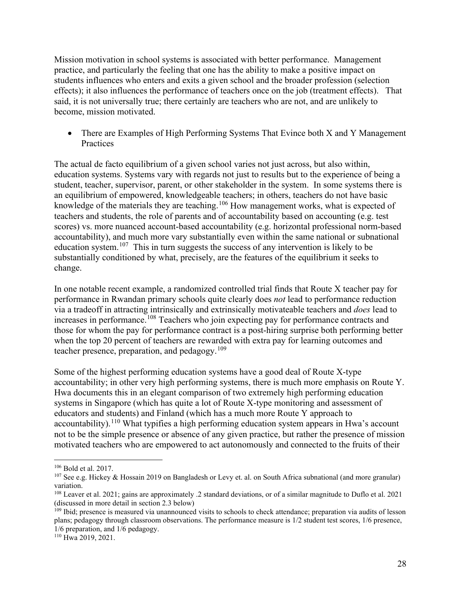Mission motivation in school systems is associated with better performance. Management practice, and particularly the feeling that one has the ability to make a positive impact on students influences who enters and exits a given school and the broader profession (selection effects); it also influences the performance of teachers once on the job (treatment effects). That said, it is not universally true; there certainly are teachers who are not, and are unlikely to become, mission motivated.

• There are Examples of High Performing Systems That Evince both X and Y Management **Practices** 

The actual de facto equilibrium of a given school varies not just across, but also within, education systems. Systems vary with regards not just to results but to the experience of being a student, teacher, supervisor, parent, or other stakeholder in the system. In some systems there is an equilibrium of empowered, knowledgeable teachers; in others, teachers do not have basic knowledge of the materials they are teaching.<sup>[106](#page-28-0)</sup> How management works, what is expected of teachers and students, the role of parents and of accountability based on accounting (e.g. test scores) vs. more nuanced account-based accountability (e.g. horizontal professional norm-based accountability), and much more vary substantially even within the same national or subnational education system.<sup>107</sup> This in turn suggests the success of any intervention is likely to be substantially conditioned by what, precisely, are the features of the equilibrium it seeks to change.

In one notable recent example, a randomized controlled trial finds that Route X teacher pay for performance in Rwandan primary schools quite clearly does *not* lead to performance reduction via a tradeoff in attracting intrinsically and extrinsically motivateable teachers and *does* lead to increases in performance.[108](#page-28-2) Teachers who join expecting pay for performance contracts and those for whom the pay for performance contract is a post-hiring surprise both performing better when the top 20 percent of teachers are rewarded with extra pay for learning outcomes and teacher presence, preparation, and pedagogy.<sup>[109](#page-28-3)</sup>

Some of the highest performing education systems have a good deal of Route X-type accountability; in other very high performing systems, there is much more emphasis on Route Y. Hwa documents this in an elegant comparison of two extremely high performing education systems in Singapore (which has quite a lot of Route X-type monitoring and assessment of educators and students) and Finland (which has a much more Route Y approach to accountability).<sup>110</sup> What typifies a high performing education system appears in Hwa's account not to be the simple presence or absence of any given practice, but rather the presence of mission motivated teachers who are empowered to act autonomously and connected to the fruits of their

<span id="page-28-0"></span><sup>106</sup> Bold et al. 2017.

<span id="page-28-1"></span><sup>&</sup>lt;sup>107</sup> See e.g. Hickey & Hossain 2019 on Bangladesh or Levy et. al. on South Africa subnational (and more granular) variation.

<span id="page-28-2"></span><sup>108</sup> Leaver et al. 2021; gains are approximately .2 standard deviations, or of a similar magnitude to Duflo et al. 2021 (discussed in more detail in section 2.3 below)

<span id="page-28-3"></span><sup>&</sup>lt;sup>109</sup> Ibid; presence is measured via unannounced visits to schools to check attendance; preparation via audits of lesson plans; pedagogy through classroom observations. The performance measure is 1/2 student test scores, 1/6 presence, 1/6 preparation, and 1/6 pedagogy.

<span id="page-28-4"></span><sup>110</sup> Hwa 2019, 2021.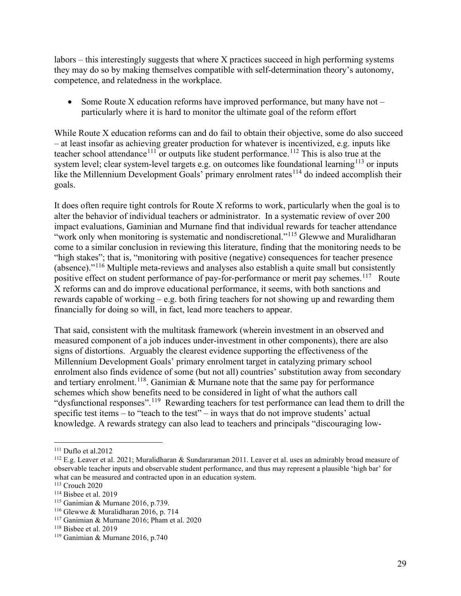labors – this interestingly suggests that where X practices succeed in high performing systems they may do so by making themselves compatible with self-determination theory's autonomy, competence, and relatedness in the workplace.

• Some Route X education reforms have improved performance, but many have not – particularly where it is hard to monitor the ultimate goal of the reform effort

While Route X education reforms can and do fail to obtain their objective, some do also succeed – at least insofar as achieving greater production for whatever is incentivized, e.g. inputs like teacher school attendance<sup>[111](#page-29-0)</sup> or outputs like student performance.<sup>[112](#page-29-1)</sup> This is also true at the system level; clear system-level targets e.g. on outcomes like foundational learning<sup>[113](#page-29-2)</sup> or inputs like the Millennium Development Goals' primary enrolment rates<sup> $114$ </sup> do indeed accomplish their goals.

It does often require tight controls for Route X reforms to work, particularly when the goal is to alter the behavior of individual teachers or administrator. In a systematic review of over 200 impact evaluations, Gaminian and Murnane find that individual rewards for teacher attendance "work only when monitoring is systematic and nondiscretional."<sup>[115](#page-29-4)</sup> Glewwe and Muralidharan come to a similar conclusion in reviewing this literature, finding that the monitoring needs to be "high stakes"; that is, "monitoring with positive (negative) consequences for teacher presence (absence)."[116](#page-29-5) Multiple meta-reviews and analyses also establish a quite small but consistently positive effect on student performance of pay-for-performance or merit pay schemes.<sup>117</sup> Route X reforms can and do improve educational performance, it seems, with both sanctions and rewards capable of working – e.g. both firing teachers for not showing up and rewarding them financially for doing so will, in fact, lead more teachers to appear.

That said, consistent with the multitask framework (wherein investment in an observed and measured component of a job induces under-investment in other components), there are also signs of distortions. Arguably the clearest evidence supporting the effectiveness of the Millennium Development Goals' primary enrolment target in catalyzing primary school enrolment also finds evidence of some (but not all) countries' substitution away from secondary and tertiary enrolment.<sup>[118](#page-29-7)</sup>. Ganimian  $\&$  Murnane note that the same pay for performance schemes which show benefits need to be considered in light of what the authors call "dysfunctional responses".[119](#page-29-8) Rewarding teachers for test performance can lead them to drill the specific test items – to "teach to the test" – in ways that do not improve students' actual knowledge. A rewards strategy can also lead to teachers and principals "discouraging low-

<span id="page-29-0"></span><sup>111</sup> Duflo et al.2012

<span id="page-29-1"></span><sup>112</sup> E.g. Leaver et al. 2021; Muralidharan & Sundararaman 2011. Leaver et al. uses an admirably broad measure of observable teacher inputs and observable student performance, and thus may represent a plausible 'high bar' for what can be measured and contracted upon in an education system.

<span id="page-29-2"></span><sup>113</sup> Crouch 2020

<span id="page-29-4"></span><span id="page-29-3"></span><sup>&</sup>lt;sup>114</sup> Bisbee et al. 2019<br><sup>115</sup> Ganimian & Murnane 2016, p.739.

<span id="page-29-5"></span><sup>&</sup>lt;sup>116</sup> Glewwe & Muralidharan 2016, p. 714.

<span id="page-29-6"></span><sup>117</sup> Ganimian & Murnane 2016; Pham et al. 2020

<span id="page-29-7"></span> $118$  Bisbee et al. 2019

<span id="page-29-8"></span><sup>119</sup> Ganimian & Murnane 2016, p.740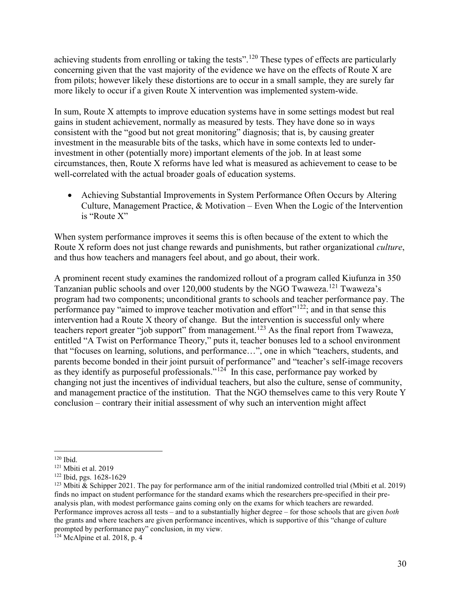achieving students from enrolling or taking the tests".<sup>[120](#page-30-0)</sup> These types of effects are particularly concerning given that the vast majority of the evidence we have on the effects of Route X are from pilots; however likely these distortions are to occur in a small sample, they are surely far more likely to occur if a given Route X intervention was implemented system-wide.

In sum, Route X attempts to improve education systems have in some settings modest but real gains in student achievement, normally as measured by tests. They have done so in ways consistent with the "good but not great monitoring" diagnosis; that is, by causing greater investment in the measurable bits of the tasks, which have in some contexts led to underinvestment in other (potentially more) important elements of the job. In at least some circumstances, then, Route X reforms have led what is measured as achievement to cease to be well-correlated with the actual broader goals of education systems.

• Achieving Substantial Improvements in System Performance Often Occurs by Altering Culture, Management Practice, & Motivation – Even When the Logic of the Intervention is "Route X"

When system performance improves it seems this is often because of the extent to which the Route X reform does not just change rewards and punishments, but rather organizational *culture*, and thus how teachers and managers feel about, and go about, their work.

A prominent recent study examines the randomized rollout of a program called Kiufunza in 350 Tanzanian public schools and over 120,000 students by the NGO Twaweza.[121](#page-30-1) Twaweza's program had two components; unconditional grants to schools and teacher performance pay. The performance pay "aimed to improve teacher motivation and effort"<sup>122</sup>; and in that sense this intervention had a Route X theory of change. But the intervention is successful only where teachers report greater "job support" from management.<sup>[123](#page-30-3)</sup> As the final report from Twaweza, entitled "A Twist on Performance Theory," puts it, teacher bonuses led to a school environment that "focuses on learning, solutions, and performance…", one in which "teachers, students, and parents become bonded in their joint pursuit of performance" and "teacher's self-image recovers as they identify as purposeful professionals."<sup>124</sup> In this case, performance pay worked by changing not just the incentives of individual teachers, but also the culture, sense of community, and management practice of the institution. That the NGO themselves came to this very Route Y conclusion – contrary their initial assessment of why such an intervention might affect

<span id="page-30-0"></span> $120$  Ibid.

<span id="page-30-1"></span><sup>121</sup> Mbiti et al. 2019

<span id="page-30-2"></span><sup>122</sup> Ibid, pgs. 1628-1629

<span id="page-30-3"></span><sup>&</sup>lt;sup>123</sup> Mbiti & Schipper 2021. The pay for performance arm of the initial randomized controlled trial (Mbiti et al. 2019) finds no impact on student performance for the standard exams which the researchers pre-specified in their preanalysis plan, with modest performance gains coming only on the exams for which teachers are rewarded. Performance improves across all tests – and to a substantially higher degree – for those schools that are given *both*  the grants and where teachers are given performance incentives, which is supportive of this "change of culture prompted by performance pay" conclusion, in my view.

<span id="page-30-4"></span><sup>&</sup>lt;sup>124</sup> McAlpine et al. 2018, p. 4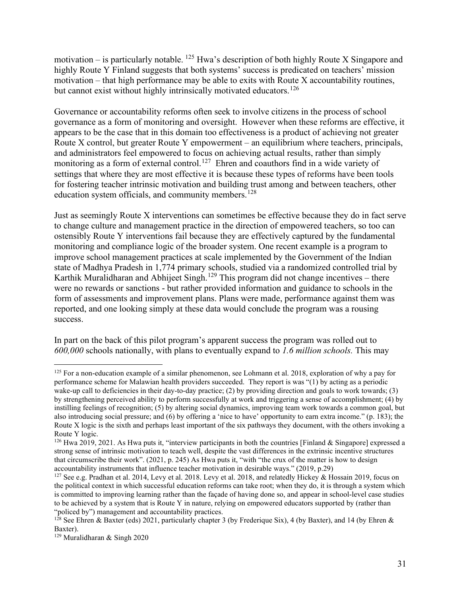motivation – is particularly notable.  $^{125}$  $^{125}$  $^{125}$  Hwa's description of both highly Route X Singapore and highly Route Y Finland suggests that both systems' success is predicated on teachers' mission motivation – that high performance may be able to exits with Route  $X$  accountability routines, but cannot exist without highly intrinsically motivated educators.<sup>[126](#page-31-1)</sup>

Governance or accountability reforms often seek to involve citizens in the process of school governance as a form of monitoring and oversight. However when these reforms are effective, it appears to be the case that in this domain too effectiveness is a product of achieving not greater Route X control, but greater Route Y empowerment – an equilibrium where teachers, principals, and administrators feel empowered to focus on achieving actual results, rather than simply monitoring as a form of external control.<sup>[127](#page-31-2)</sup> Ehren and coauthors find in a wide variety of settings that where they are most effective it is because these types of reforms have been tools for fostering teacher intrinsic motivation and building trust among and between teachers, other education system officials, and community members.<sup>[128](#page-31-3)</sup>

Just as seemingly Route X interventions can sometimes be effective because they do in fact serve to change culture and management practice in the direction of empowered teachers, so too can ostensibly Route Y interventions fail because they are effectively captured by the fundamental monitoring and compliance logic of the broader system. One recent example is a program to improve school management practices at scale implemented by the Government of the Indian state of Madhya Pradesh in 1,774 primary schools, studied via a randomized controlled trial by Karthik Muralidharan and Abhijeet Singh.<sup>[129](#page-31-4)</sup> This program did not change incentives – there were no rewards or sanctions - but rather provided information and guidance to schools in the form of assessments and improvement plans. Plans were made, performance against them was reported, and one looking simply at these data would conclude the program was a rousing success.

In part on the back of this pilot program's apparent success the program was rolled out to *600,000* schools nationally, with plans to eventually expand to *1.6 million schools.* This may

<span id="page-31-0"></span> $125$  For a non-education example of a similar phenomenon, see Lohmann et al. 2018, exploration of why a pay for performance scheme for Malawian health providers succeeded. They report is was "(1) by acting as a periodic wake-up call to deficiencies in their day-to-day practice; (2) by providing direction and goals to work towards; (3) by strengthening perceived ability to perform successfully at work and triggering a sense of accomplishment; (4) by instilling feelings of recognition; (5) by altering social dynamics, improving team work towards a common goal, but also introducing social pressure; and (6) by offering a 'nice to have' opportunity to earn extra income." (p. 183); the Route X logic is the sixth and perhaps least important of the six pathways they document, with the others invoking a Route Y logic.

<span id="page-31-1"></span><sup>&</sup>lt;sup>126</sup> Hwa 2019, 2021. As Hwa puts it, "interview participants in both the countries [Finland & Singapore] expressed a strong sense of intrinsic motivation to teach well, despite the vast differences in the extrinsic incentive structures that circumscribe their work". (2021, p. 245) As Hwa puts it, "with "the crux of the matter is how to design accountability instruments that influence teacher motivation in desirable ways." (2019, p.29)

<span id="page-31-2"></span><sup>&</sup>lt;sup>127</sup> See e.g. Pradhan et al. 2014, Levy et al. 2018. Levy et al. 2018, and relatedly Hickey & Hossain 2019, focus on the political context in which successful education reforms can take root; when they do, it is through a system which is committed to improving learning rather than the façade of having done so, and appear in school-level case studies to be achieved by a system that is Route Y in nature, relying on empowered educators supported by (rather than "policed by") management and accountability practices.

<span id="page-31-3"></span><sup>&</sup>lt;sup>128</sup> See Ehren & Baxter (eds) 2021, particularly chapter 3 (by Frederique Six), 4 (by Baxter), and 14 (by Ehren & Baxter).

<span id="page-31-4"></span><sup>129</sup> Muralidharan & Singh 2020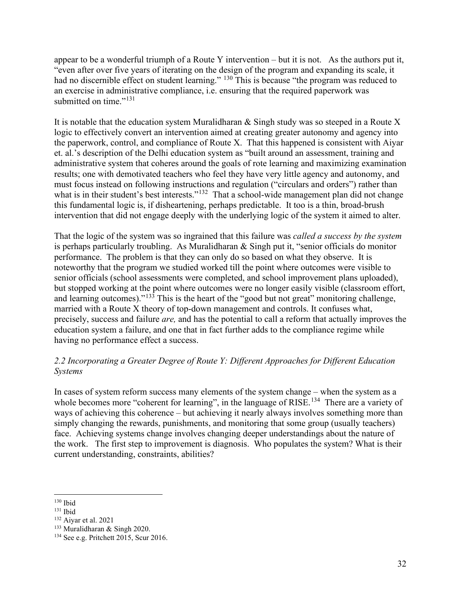appear to be a wonderful triumph of a Route Y intervention – but it is not. As the authors put it, "even after over five years of iterating on the design of the program and expanding its scale, it had no discernible effect on student learning." <sup>[130](#page-32-0)</sup> This is because "the program was reduced to an exercise in administrative compliance, i.e. ensuring that the required paperwork was submitted on time."<sup>[131](#page-32-1)</sup>

It is notable that the education system Muralidharan & Singh study was so steeped in a Route X logic to effectively convert an intervention aimed at creating greater autonomy and agency into the paperwork, control, and compliance of Route X. That this happened is consistent with Aiyar et. al.'s description of the Delhi education system as "built around an assessment, training and administrative system that coheres around the goals of rote learning and maximizing examination results; one with demotivated teachers who feel they have very little agency and autonomy, and must focus instead on following instructions and regulation ("circulars and orders") rather than what is in their student's best interests."<sup>[132](#page-32-2)</sup> That a school-wide management plan did not change this fundamental logic is, if disheartening, perhaps predictable. It too is a thin, broad-brush intervention that did not engage deeply with the underlying logic of the system it aimed to alter.

That the logic of the system was so ingrained that this failure was *called a success by the system*  is perhaps particularly troubling. As Muralidharan & Singh put it, "senior officials do monitor performance. The problem is that they can only do so based on what they observe. It is noteworthy that the program we studied worked till the point where outcomes were visible to senior officials (school assessments were completed, and school improvement plans uploaded), but stopped working at the point where outcomes were no longer easily visible (classroom effort, and learning outcomes)."<sup>[133](#page-32-3)</sup> This is the heart of the "good but not great" monitoring challenge, married with a Route X theory of top-down management and controls. It confuses what, precisely, success and failure *are,* and has the potential to call a reform that actually improves the education system a failure, and one that in fact further adds to the compliance regime while having no performance effect a success.

# *2.2 Incorporating a Greater Degree of Route Y: Different Approaches for Different Education Systems*

In cases of system reform success many elements of the system change – when the system as a whole becomes more "coherent for learning", in the language of RISE.<sup>[134](#page-32-4)</sup> There are a variety of ways of achieving this coherence – but achieving it nearly always involves something more than simply changing the rewards, punishments, and monitoring that some group (usually teachers) face. Achieving systems change involves changing deeper understandings about the nature of the work. The first step to improvement is diagnosis. Who populates the system? What is their current understanding, constraints, abilities?

<span id="page-32-0"></span> $130$  Ibid

<span id="page-32-1"></span> $131$  Ibid

<span id="page-32-2"></span><sup>132</sup> Aiyar et al. 2021

<span id="page-32-3"></span><sup>133</sup> Muralidharan & Singh 2020.

<span id="page-32-4"></span><sup>134</sup> See e.g. Pritchett 2015, Scur 2016.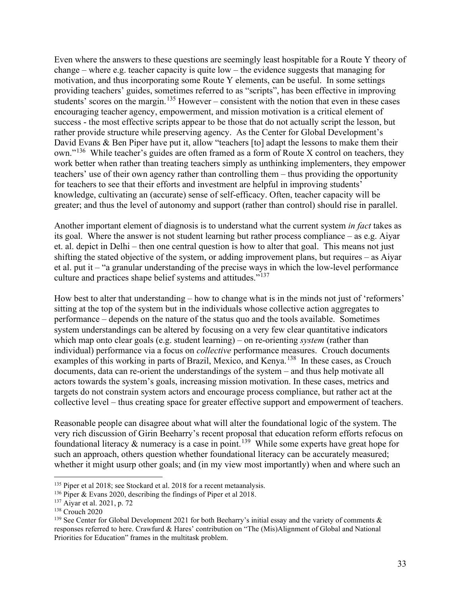Even where the answers to these questions are seemingly least hospitable for a Route Y theory of change – where e.g. teacher capacity is quite low – the evidence suggests that managing for motivation, and thus incorporating some Route Y elements, can be useful. In some settings providing teachers' guides, sometimes referred to as "scripts", has been effective in improving students' scores on the margin.<sup>[135](#page-33-0)</sup> However – consistent with the notion that even in these cases encouraging teacher agency, empowerment, and mission motivation is a critical element of success - the most effective scripts appear to be those that do not actually script the lesson, but rather provide structure while preserving agency. As the Center for Global Development's David Evans & Ben Piper have put it, allow "teachers [to] adapt the lessons to make them their  $own.^{136}$  While teacher's guides are often framed as a form of Route X control on teachers, they work better when rather than treating teachers simply as unthinking implementers, they empower teachers' use of their own agency rather than controlling them – thus providing the opportunity for teachers to see that their efforts and investment are helpful in improving students' knowledge, cultivating an (accurate) sense of self-efficacy. Often, teacher capacity will be greater; and thus the level of autonomy and support (rather than control) should rise in parallel.

Another important element of diagnosis is to understand what the current system *in fact* takes as its goal. Where the answer is not student learning but rather process compliance – as e.g. Aiyar et. al. depict in Delhi – then one central question is how to alter that goal. This means not just shifting the stated objective of the system, or adding improvement plans, but requires – as Aiyar et al. put it – "a granular understanding of the precise ways in which the low-level performance culture and practices shape belief systems and attitudes."<sup>[137](#page-33-2)</sup>

How best to alter that understanding – how to change what is in the minds not just of 'reformers' sitting at the top of the system but in the individuals whose collective action aggregates to performance – depends on the nature of the status quo and the tools available. Sometimes system understandings can be altered by focusing on a very few clear quantitative indicators which map onto clear goals (e.g. student learning) – on re-orienting *system* (rather than individual) performance via a focus on *collective* performance measures. Crouch documents examples of this working in parts of Brazil, Mexico, and Kenya.<sup>138</sup> In these cases, as Crouch documents, data can re-orient the understandings of the system – and thus help motivate all actors towards the system's goals, increasing mission motivation. In these cases, metrics and targets do not constrain system actors and encourage process compliance, but rather act at the collective level – thus creating space for greater effective support and empowerment of teachers.

Reasonable people can disagree about what will alter the foundational logic of the system. The very rich discussion of Girin Beeharry's recent proposal that education reform efforts refocus on foundational literacy  $\&$  numeracy is a case in point.<sup>[139](#page-33-4)</sup> While some experts have great hope for such an approach, others question whether foundational literacy can be accurately measured; whether it might usurp other goals; and (in my view most importantly) when and where such an

<span id="page-33-0"></span><sup>&</sup>lt;sup>135</sup> Piper et al 2018; see Stockard et al. 2018 for a recent metaanalysis.

<span id="page-33-1"></span><sup>&</sup>lt;sup>136</sup> Piper & Evans 2020, describing the findings of Piper et al 2018.

<span id="page-33-2"></span><sup>137</sup> Aiyar et al. 2021, p. 72

<span id="page-33-3"></span><sup>138</sup> Crouch 2020

<span id="page-33-4"></span><sup>&</sup>lt;sup>139</sup> See Center for Global Development 2021 for both Beeharry's initial essay and the variety of comments  $\&$ responses referred to here. Crawfurd & Hares' contribution on "The (Mis)Alignment of Global and National Priorities for Education" frames in the multitask problem.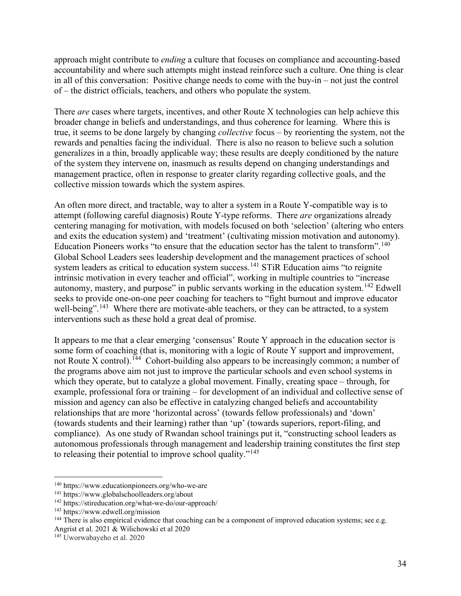approach might contribute to *ending* a culture that focuses on compliance and accounting-based accountability and where such attempts might instead reinforce such a culture. One thing is clear in all of this conversation: Positive change needs to come with the buy-in – not just the control of – the district officials, teachers, and others who populate the system.

There *are* cases where targets, incentives, and other Route X technologies can help achieve this broader change in beliefs and understandings, and thus coherence for learning. Where this is true, it seems to be done largely by changing *collective* focus – by reorienting the system, not the rewards and penalties facing the individual. There is also no reason to believe such a solution generalizes in a thin, broadly applicable way; these results are deeply conditioned by the nature of the system they intervene on, inasmuch as results depend on changing understandings and management practice, often in response to greater clarity regarding collective goals, and the collective mission towards which the system aspires.

An often more direct, and tractable, way to alter a system in a Route Y-compatible way is to attempt (following careful diagnosis) Route Y-type reforms. There *are* organizations already centering managing for motivation, with models focused on both 'selection' (altering who enters and exits the education system) and 'treatment' (cultivating mission motivation and autonomy). Education Pioneers works "to ensure that the education sector has the talent to transform".<sup>[140](#page-34-0)</sup> Global School Leaders sees leadership development and the management practices of school system leaders as critical to education system success.<sup>[141](#page-34-1)</sup> STiR Education aims "to reignite" intrinsic motivation in every teacher and official", working in multiple countries to "increase autonomy, mastery, and purpose" in public servants working in the education system.<sup>[142](#page-34-2)</sup> Edwell seeks to provide one-on-one peer coaching for teachers to "fight burnout and improve educator well-being".<sup>[143](#page-34-3)</sup> Where there are motivate-able teachers, or they can be attracted, to a system interventions such as these hold a great deal of promise.

It appears to me that a clear emerging 'consensus' Route Y approach in the education sector is some form of coaching (that is, monitoring with a logic of Route Y support and improvement, not Route X control).<sup>[144](#page-34-4)</sup> Cohort-building also appears to be increasingly common; a number of the programs above aim not just to improve the particular schools and even school systems in which they operate, but to catalyze a global movement. Finally, creating space – through, for example, professional fora or training – for development of an individual and collective sense of mission and agency can also be effective in catalyzing changed beliefs and accountability relationships that are more 'horizontal across' (towards fellow professionals) and 'down' (towards students and their learning) rather than 'up' (towards superiors, report-filing, and compliance). As one study of Rwandan school trainings put it, "constructing school leaders as autonomous professionals through management and leadership training constitutes the first step to releasing their potential to improve school quality."[145](#page-34-5)

<span id="page-34-0"></span><sup>140</sup> https://www.educationpioneers.org/who-we-are

<span id="page-34-1"></span><sup>141</sup> https://www.globalschoolleaders.org/about

<span id="page-34-2"></span><sup>142</sup> https://stireducation.org/what-we-do/our-approach/

<span id="page-34-3"></span><sup>143</sup> https://www.edwell.org/mission

<span id="page-34-4"></span><sup>&</sup>lt;sup>144</sup> There is also empirical evidence that coaching can be a component of improved education systems; see e.g. Angrist et al. 2021 & Wilichowski et al 2020

<span id="page-34-5"></span><sup>145</sup> Uworwabayeho et al. 2020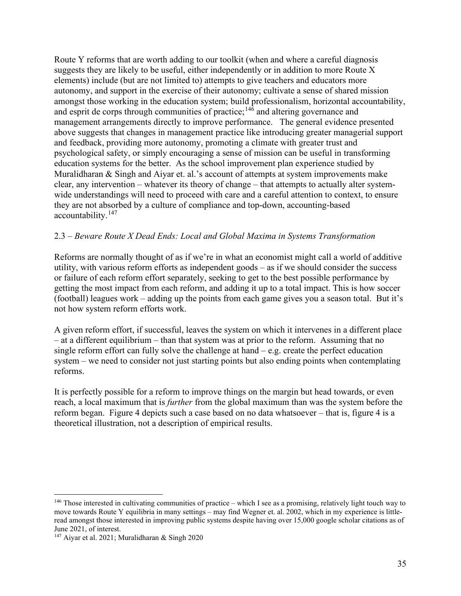Route Y reforms that are worth adding to our toolkit (when and where a careful diagnosis suggests they are likely to be useful, either independently or in addition to more Route X elements) include (but are not limited to) attempts to give teachers and educators more autonomy, and support in the exercise of their autonomy; cultivate a sense of shared mission amongst those working in the education system; build professionalism, horizontal accountability, and esprit de corps through communities of practice;<sup>[146](#page-35-0)</sup> and altering governance and management arrangements directly to improve performance. The general evidence presented above suggests that changes in management practice like introducing greater managerial support and feedback, providing more autonomy, promoting a climate with greater trust and psychological safety, or simply encouraging a sense of mission can be useful in transforming education systems for the better. As the school improvement plan experience studied by Muralidharan & Singh and Aiyar et. al.'s account of attempts at system improvements make clear, any intervention – whatever its theory of change – that attempts to actually alter systemwide understandings will need to proceed with care and a careful attention to context, to ensure they are not absorbed by a culture of compliance and top-down, accounting-based accountability.[147](#page-35-1)

#### 2.3 – *Beware Route X Dead Ends: Local and Global Maxima in Systems Transformation*

Reforms are normally thought of as if we're in what an economist might call a world of additive utility, with various reform efforts as independent goods – as if we should consider the success or failure of each reform effort separately, seeking to get to the best possible performance by getting the most impact from each reform, and adding it up to a total impact. This is how soccer (football) leagues work – adding up the points from each game gives you a season total. But it's not how system reform efforts work.

A given reform effort, if successful, leaves the system on which it intervenes in a different place – at a different equilibrium – than that system was at prior to the reform. Assuming that no single reform effort can fully solve the challenge at hand  $-e.g.$  create the perfect education system – we need to consider not just starting points but also ending points when contemplating reforms.

It is perfectly possible for a reform to improve things on the margin but head towards, or even reach, a local maximum that is *further* from the global maximum than was the system before the reform began. Figure 4 depicts such a case based on no data whatsoever – that is, figure 4 is a theoretical illustration, not a description of empirical results.

<span id="page-35-0"></span><sup>&</sup>lt;sup>146</sup> Those interested in cultivating communities of practice – which I see as a promising, relatively light touch way to move towards Route Y equilibria in many settings – may find Wegner et. al. 2002, which in my experience is littleread amongst those interested in improving public systems despite having over 15,000 google scholar citations as of June 2021, of interest.

<span id="page-35-1"></span><sup>147</sup> Aiyar et al. 2021; Muralidharan & Singh 2020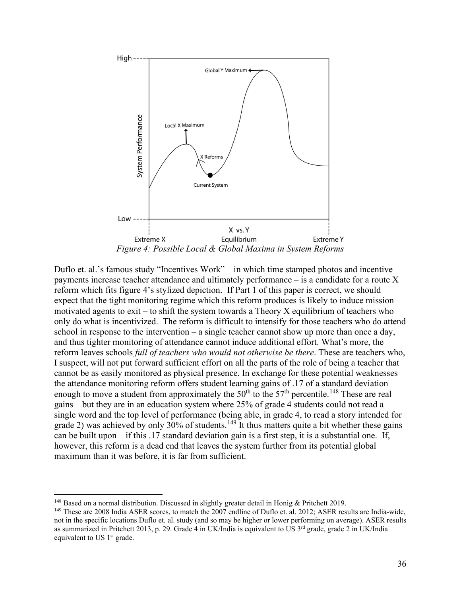

Duflo et. al.'s famous study "Incentives Work" – in which time stamped photos and incentive payments increase teacher attendance and ultimately performance – is a candidate for a route X reform which fits figure 4's stylized depiction. If Part 1 of this paper is correct, we should expect that the tight monitoring regime which this reform produces is likely to induce mission motivated agents to exit – to shift the system towards a Theory  $X$  equilibrium of teachers who only do what is incentivized. The reform is difficult to intensify for those teachers who do attend school in response to the intervention – a single teacher cannot show up more than once a day, and thus tighter monitoring of attendance cannot induce additional effort. What's more, the reform leaves schools *full of teachers who would not otherwise be there*. These are teachers who, I suspect, will not put forward sufficient effort on all the parts of the role of being a teacher that cannot be as easily monitored as physical presence. In exchange for these potential weaknesses the attendance monitoring reform offers student learning gains of .17 of a standard deviation – enough to move a student from approximately the  $50<sup>th</sup>$  to the  $57<sup>th</sup>$  percentile.<sup>[148](#page-36-0)</sup> These are real gains – but they are in an education system where 25% of grade 4 students could not read a single word and the top level of performance (being able, in grade 4, to read a story intended for grade 2) was achieved by only 30% of students.<sup>[149](#page-36-1)</sup> It thus matters quite a bit whether these gains can be built upon – if this .17 standard deviation gain is a first step, it is a substantial one. If, however, this reform is a dead end that leaves the system further from its potential global maximum than it was before, it is far from sufficient.

<span id="page-36-0"></span><sup>&</sup>lt;sup>148</sup> Based on a normal distribution. Discussed in slightly greater detail in Honig & Pritchett 2019.

<span id="page-36-1"></span><sup>&</sup>lt;sup>149</sup> These are 2008 India ASER scores, to match the 2007 endline of Duflo et. al. 2012; ASER results are India-wide, not in the specific locations Duflo et. al. study (and so may be higher or lower performing on average). ASER results as summarized in Pritchett 2013, p. 29. Grade 4 in UK/India is equivalent to US 3<sup>rd</sup> grade, grade 2 in UK/India equivalent to US 1<sup>st</sup> grade.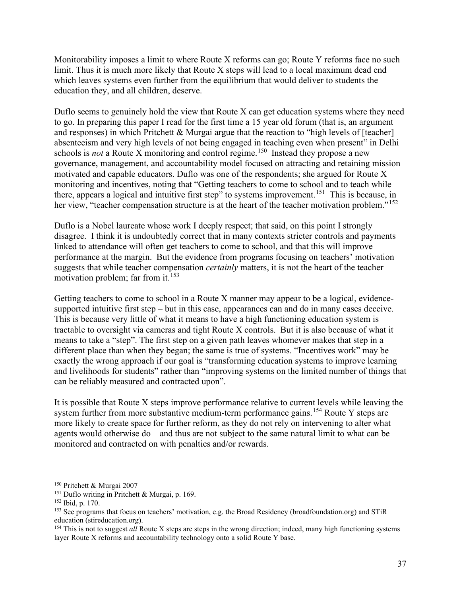Monitorability imposes a limit to where Route X reforms can go; Route Y reforms face no such limit. Thus it is much more likely that Route X steps will lead to a local maximum dead end which leaves systems even further from the equilibrium that would deliver to students the education they, and all children, deserve.

Duflo seems to genuinely hold the view that Route X can get education systems where they need to go. In preparing this paper I read for the first time a 15 year old forum (that is, an argument and responses) in which Pritchett & Murgai argue that the reaction to "high levels of [teacher] absenteeism and very high levels of not being engaged in teaching even when present" in Delhi schools is *not* a Route X monitoring and control regime.<sup>150</sup> Instead they propose a new governance, management, and accountability model focused on attracting and retaining mission motivated and capable educators. Duflo was one of the respondents; she argued for Route X monitoring and incentives, noting that "Getting teachers to come to school and to teach while there, appears a logical and intuitive first step" to systems improvement.<sup>[151](#page-37-1)</sup> This is because, in her view, "teacher compensation structure is at the heart of the teacher motivation problem."<sup>[152](#page-37-2)</sup>

Duflo is a Nobel laureate whose work I deeply respect; that said, on this point I strongly disagree. I think it is undoubtedly correct that in many contexts stricter controls and payments linked to attendance will often get teachers to come to school, and that this will improve performance at the margin. But the evidence from programs focusing on teachers' motivation suggests that while teacher compensation *certainly* matters, it is not the heart of the teacher motivation problem; far from it. [153](#page-37-3)

Getting teachers to come to school in a Route X manner may appear to be a logical, evidencesupported intuitive first step – but in this case, appearances can and do in many cases deceive. This is because very little of what it means to have a high functioning education system is tractable to oversight via cameras and tight Route X controls. But it is also because of what it means to take a "step". The first step on a given path leaves whomever makes that step in a different place than when they began; the same is true of systems. "Incentives work" may be exactly the wrong approach if our goal is "transforming education systems to improve learning and livelihoods for students" rather than "improving systems on the limited number of things that can be reliably measured and contracted upon".

It is possible that Route X steps improve performance relative to current levels while leaving the system further from more substantive medium-term performance gains.<sup>[154](#page-37-4)</sup> Route Y steps are more likely to create space for further reform, as they do not rely on intervening to alter what agents would otherwise do – and thus are not subject to the same natural limit to what can be monitored and contracted on with penalties and/or rewards.

<span id="page-37-0"></span><sup>150</sup> Pritchett & Murgai 2007

<span id="page-37-1"></span><sup>151</sup> Duflo writing in Pritchett & Murgai, p. 169.

<span id="page-37-2"></span><sup>152</sup> Ibid, p. 170.

<span id="page-37-3"></span><sup>153</sup> See programs that focus on teachers' motivation, e.g. the Broad Residency (broadfoundation.org) and STiR education (stireducation.org).

<span id="page-37-4"></span><sup>&</sup>lt;sup>154</sup> This is not to suggest *all* Route X steps are steps in the wrong direction; indeed, many high functioning systems layer Route X reforms and accountability technology onto a solid Route Y base.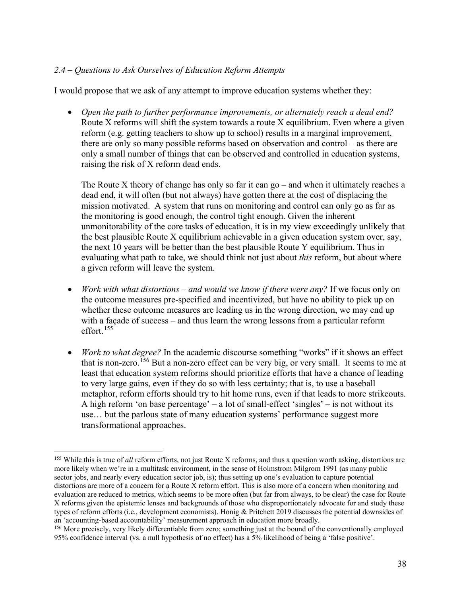# *2.4 – Questions to Ask Ourselves of Education Reform Attempts*

I would propose that we ask of any attempt to improve education systems whether they:

• *Open the path to further performance improvements, or alternately reach a dead end?* Route X reforms will shift the system towards a route X equilibrium. Even where a given reform (e.g. getting teachers to show up to school) results in a marginal improvement, there are only so many possible reforms based on observation and control – as there are only a small number of things that can be observed and controlled in education systems, raising the risk of X reform dead ends.

The Route X theory of change has only so far it can go – and when it ultimately reaches a dead end, it will often (but not always) have gotten there at the cost of displacing the mission motivated. A system that runs on monitoring and control can only go as far as the monitoring is good enough, the control tight enough. Given the inherent unmonitorability of the core tasks of education, it is in my view exceedingly unlikely that the best plausible Route X equilibrium achievable in a given education system over, say, the next 10 years will be better than the best plausible Route Y equilibrium. Thus in evaluating what path to take, we should think not just about *this* reform, but about where a given reform will leave the system.

- *Work with what distortions – and would we know if there were any?* If we focus only on the outcome measures pre-specified and incentivized, but have no ability to pick up on whether these outcome measures are leading us in the wrong direction, we may end up with a façade of success – and thus learn the wrong lessons from a particular reform effort.[155](#page-38-0)
- *Work to what degree?* In the academic discourse something "works" if it shows an effect that is non-zero.<sup>[156](#page-38-1)</sup> But a non-zero effect can be very big, or very small. It seems to me at least that education system reforms should prioritize efforts that have a chance of leading to very large gains, even if they do so with less certainty; that is, to use a baseball metaphor, reform efforts should try to hit home runs, even if that leads to more strikeouts. A high reform 'on base percentage' – a lot of small-effect 'singles' – is not without its use… but the parlous state of many education systems' performance suggest more transformational approaches.

<span id="page-38-0"></span><sup>&</sup>lt;sup>155</sup> While this is true of *all* reform efforts, not just Route X reforms, and thus a question worth asking, distortions are more likely when we're in a multitask environment, in the sense of Holmstrom Milgrom 1991 (as many public sector jobs, and nearly every education sector job, is); thus setting up one's evaluation to capture potential distortions are more of a concern for a Route X reform effort. This is also more of a concern when monitoring and evaluation are reduced to metrics, which seems to be more often (but far from always, to be clear) the case for Route X reforms given the epistemic lenses and backgrounds of those who disproportionately advocate for and study these types of reform efforts (i.e., development economists). Honig & Pritchett 2019 discusses the potential downsides of an 'accounting-based accountability' measurement approach in education more broadly.

<span id="page-38-1"></span> $156$  More precisely, very likely differentiable from zero; something just at the bound of the conventionally employed 95% confidence interval (vs. a null hypothesis of no effect) has a 5% likelihood of being a 'false positive'.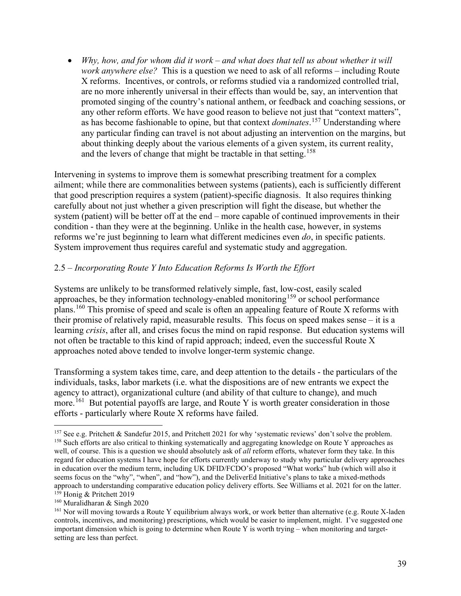• *Why, how, and for whom did it work – and what does that tell us about whether it will work anywhere else?* This is a question we need to ask of all reforms – including Route X reforms. Incentives, or controls, or reforms studied via a randomized controlled trial, are no more inherently universal in their effects than would be, say, an intervention that promoted singing of the country's national anthem, or feedback and coaching sessions, or any other reform efforts. We have good reason to believe not just that "context matters", as has become fashionable to opine, but that context *dominates*. [157](#page-39-0) Understanding where any particular finding can travel is not about adjusting an intervention on the margins, but about thinking deeply about the various elements of a given system, its current reality, and the levers of change that might be tractable in that setting.<sup>[158](#page-39-1)</sup>

Intervening in systems to improve them is somewhat prescribing treatment for a complex ailment; while there are commonalities between systems (patients), each is sufficiently different that good prescription requires a system (patient)-specific diagnosis. It also requires thinking carefully about not just whether a given prescription will fight the disease, but whether the system (patient) will be better off at the end – more capable of continued improvements in their condition - than they were at the beginning. Unlike in the health case, however, in systems reforms we're just beginning to learn what different medicines even *do*, in specific patients. System improvement thus requires careful and systematic study and aggregation.

# 2.5 – *Incorporating Route Y Into Education Reforms Is Worth the Effort*

Systems are unlikely to be transformed relatively simple, fast, low-cost, easily scaled approaches, be they information technology-enabled monitoring<sup>[159](#page-39-2)</sup> or school performance plans.[160](#page-39-3) This promise of speed and scale is often an appealing feature of Route X reforms with their promise of relatively rapid, measurable results. This focus on speed makes sense – it is a learning *crisis*, after all, and crises focus the mind on rapid response. But education systems will not often be tractable to this kind of rapid approach; indeed, even the successful Route X approaches noted above tended to involve longer-term systemic change.

Transforming a system takes time, care, and deep attention to the details - the particulars of the individuals, tasks, labor markets (i.e. what the dispositions are of new entrants we expect the agency to attract), organizational culture (and ability of that culture to change), and much more.<sup>[161](#page-39-4)</sup> But potential payoffs are large, and Route Y is worth greater consideration in those efforts - particularly where Route X reforms have failed.

<span id="page-39-1"></span><span id="page-39-0"></span> $157$  See e.g. Pritchett & Sandefur 2015, and Pritchett 2021 for why 'systematic reviews' don't solve the problem. <sup>158</sup> Such efforts are also critical to thinking systematically and aggregating knowledge on Route Y approaches as well, of course. This is a question we should absolutely ask of *all* reform efforts, whatever form they take. In this regard for education systems I have hope for efforts currently underway to study why particular delivery approaches in education over the medium term, including UK DFID/FCDO's proposed "What works" hub (which will also it seems focus on the "why", "when", and "how"), and the DeliverEd Initiative's plans to take a mixed-methods approach to understanding comparative education policy delivery efforts. See Williams et al. 2021 for on the latter. <sup>159</sup> Honig & Pritchett 2019

<span id="page-39-3"></span><span id="page-39-2"></span><sup>160</sup> Muralidharan & Singh 2020

<span id="page-39-4"></span><sup>161</sup> Nor will moving towards a Route Y equilibrium always work, or work better than alternative (e.g. Route X-laden controls, incentives, and monitoring) prescriptions, which would be easier to implement, might. I've suggested one important dimension which is going to determine when Route Y is worth trying – when monitoring and targetsetting are less than perfect.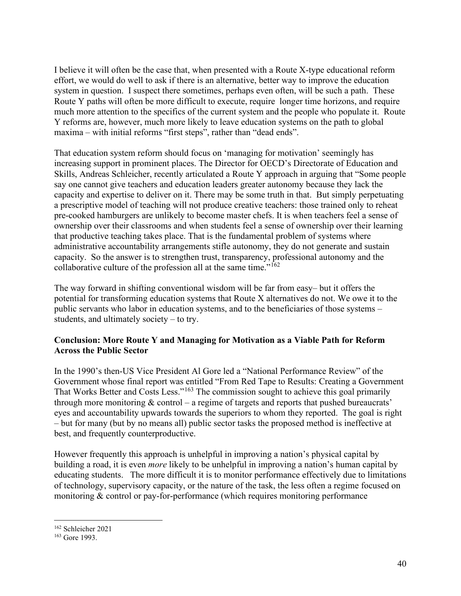I believe it will often be the case that, when presented with a Route X-type educational reform effort, we would do well to ask if there is an alternative, better way to improve the education system in question. I suspect there sometimes, perhaps even often, will be such a path. These Route Y paths will often be more difficult to execute, require longer time horizons, and require much more attention to the specifics of the current system and the people who populate it. Route Y reforms are, however, much more likely to leave education systems on the path to global maxima – with initial reforms "first steps", rather than "dead ends".

That education system reform should focus on 'managing for motivation' seemingly has increasing support in prominent places. The Director for OECD's Directorate of Education and Skills, Andreas Schleicher, recently articulated a Route Y approach in arguing that "Some people say one cannot give teachers and education leaders greater autonomy because they lack the capacity and expertise to deliver on it. There may be some truth in that. But simply perpetuating a prescriptive model of teaching will not produce creative teachers: those trained only to reheat pre-cooked hamburgers are unlikely to become master chefs. It is when teachers feel a sense of ownership over their classrooms and when students feel a sense of ownership over their learning that productive teaching takes place. That is the fundamental problem of systems where administrative accountability arrangements stifle autonomy, they do not generate and sustain capacity. So the answer is to strengthen trust, transparency, professional autonomy and the collaborative culture of the profession all at the same time."[162](#page-40-0)

The way forward in shifting conventional wisdom will be far from easy– but it offers the potential for transforming education systems that Route X alternatives do not. We owe it to the public servants who labor in education systems, and to the beneficiaries of those systems – students, and ultimately society – to try.

# **Conclusion: More Route Y and Managing for Motivation as a Viable Path for Reform Across the Public Sector**

In the 1990's then-US Vice President Al Gore led a "National Performance Review" of the Government whose final report was entitled "From Red Tape to Results: Creating a Government That Works Better and Costs Less."[163](#page-40-1) The commission sought to achieve this goal primarily through more monitoring  $&$  control – a regime of targets and reports that pushed bureaucrats' eyes and accountability upwards towards the superiors to whom they reported. The goal is right – but for many (but by no means all) public sector tasks the proposed method is ineffective at best, and frequently counterproductive.

However frequently this approach is unhelpful in improving a nation's physical capital by building a road, it is even *more* likely to be unhelpful in improving a nation's human capital by educating students. The more difficult it is to monitor performance effectively due to limitations of technology, supervisory capacity, or the nature of the task, the less often a regime focused on monitoring & control or pay-for-performance (which requires monitoring performance

<span id="page-40-0"></span><sup>162</sup> Schleicher 2021

<span id="page-40-1"></span><sup>163</sup> Gore 1993.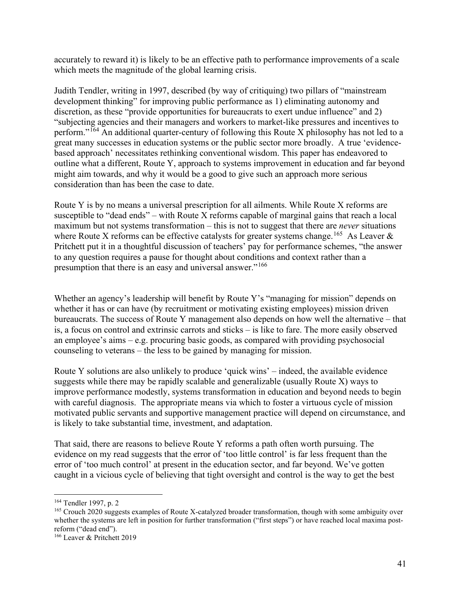accurately to reward it) is likely to be an effective path to performance improvements of a scale which meets the magnitude of the global learning crisis.

Judith Tendler, writing in 1997, described (by way of critiquing) two pillars of "mainstream development thinking" for improving public performance as 1) eliminating autonomy and discretion, as these "provide opportunities for bureaucrats to exert undue influence" and 2) "subjecting agencies and their managers and workers to market-like pressures and incentives to perform."<sup>[164](#page-41-0)</sup> An additional quarter-century of following this Route X philosophy has not led to a great many successes in education systems or the public sector more broadly. A true 'evidencebased approach' necessitates rethinking conventional wisdom. This paper has endeavored to outline what a different, Route Y, approach to systems improvement in education and far beyond might aim towards, and why it would be a good to give such an approach more serious consideration than has been the case to date.

Route Y is by no means a universal prescription for all ailments. While Route X reforms are susceptible to "dead ends" – with Route X reforms capable of marginal gains that reach a local maximum but not systems transformation – this is not to suggest that there are *never* situations where Route X reforms can be effective catalysts for greater systems change.<sup>[165](#page-41-1)</sup> As Leaver  $\&$ Pritchett put it in a thoughtful discussion of teachers' pay for performance schemes, "the answer to any question requires a pause for thought about conditions and context rather than a presumption that there is an easy and universal answer."[166](#page-41-2)

Whether an agency's leadership will benefit by Route Y's "managing for mission" depends on whether it has or can have (by recruitment or motivating existing employees) mission driven bureaucrats. The success of Route Y management also depends on how well the alternative – that is, a focus on control and extrinsic carrots and sticks – is like to fare. The more easily observed an employee's aims – e.g. procuring basic goods, as compared with providing psychosocial counseling to veterans – the less to be gained by managing for mission.

Route Y solutions are also unlikely to produce 'quick wins' – indeed, the available evidence suggests while there may be rapidly scalable and generalizable (usually Route X) ways to improve performance modestly, systems transformation in education and beyond needs to begin with careful diagnosis. The appropriate means via which to foster a virtuous cycle of mission motivated public servants and supportive management practice will depend on circumstance, and is likely to take substantial time, investment, and adaptation.

That said, there are reasons to believe Route Y reforms a path often worth pursuing. The evidence on my read suggests that the error of 'too little control' is far less frequent than the error of 'too much control' at present in the education sector, and far beyond. We've gotten caught in a vicious cycle of believing that tight oversight and control is the way to get the best

<span id="page-41-0"></span><sup>164</sup> Tendler 1997, p. 2

<span id="page-41-1"></span><sup>165</sup> Crouch 2020 suggests examples of Route X-catalyzed broader transformation, though with some ambiguity over whether the systems are left in position for further transformation ("first steps") or have reached local maxima postreform ("dead end").

<span id="page-41-2"></span><sup>166</sup> Leaver & Pritchett 2019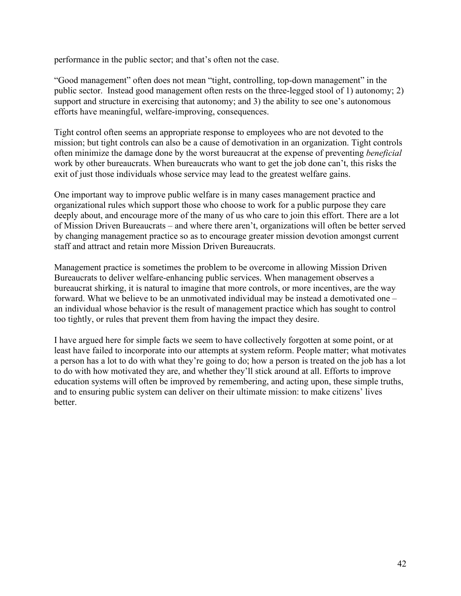performance in the public sector; and that's often not the case.

"Good management" often does not mean "tight, controlling, top-down management" in the public sector. Instead good management often rests on the three-legged stool of 1) autonomy; 2) support and structure in exercising that autonomy; and 3) the ability to see one's autonomous efforts have meaningful, welfare-improving, consequences.

Tight control often seems an appropriate response to employees who are not devoted to the mission; but tight controls can also be a cause of demotivation in an organization. Tight controls often minimize the damage done by the worst bureaucrat at the expense of preventing *beneficial*  work by other bureaucrats. When bureaucrats who want to get the job done can't, this risks the exit of just those individuals whose service may lead to the greatest welfare gains.

One important way to improve public welfare is in many cases management practice and organizational rules which support those who choose to work for a public purpose they care deeply about, and encourage more of the many of us who care to join this effort. There are a lot of Mission Driven Bureaucrats – and where there aren't, organizations will often be better served by changing management practice so as to encourage greater mission devotion amongst current staff and attract and retain more Mission Driven Bureaucrats.

Management practice is sometimes the problem to be overcome in allowing Mission Driven Bureaucrats to deliver welfare-enhancing public services. When management observes a bureaucrat shirking, it is natural to imagine that more controls, or more incentives, are the way forward. What we believe to be an unmotivated individual may be instead a demotivated one – an individual whose behavior is the result of management practice which has sought to control too tightly, or rules that prevent them from having the impact they desire.

I have argued here for simple facts we seem to have collectively forgotten at some point, or at least have failed to incorporate into our attempts at system reform. People matter; what motivates a person has a lot to do with what they're going to do; how a person is treated on the job has a lot to do with how motivated they are, and whether they'll stick around at all. Efforts to improve education systems will often be improved by remembering, and acting upon, these simple truths, and to ensuring public system can deliver on their ultimate mission: to make citizens' lives better.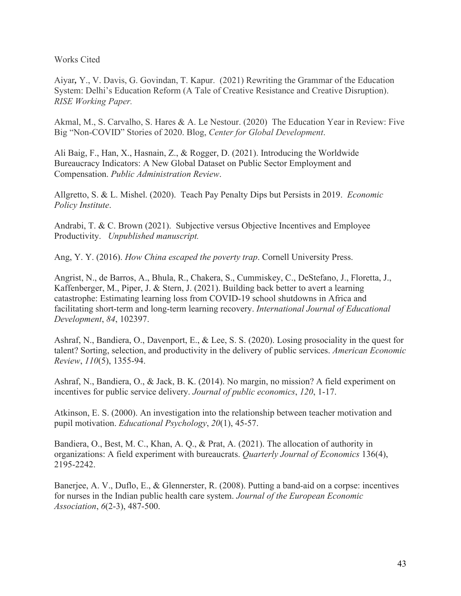Works Cited

Aiyar*,* Y., V. Davis, G. Govindan, T. Kapur. (2021) Rewriting the Grammar of the Education System: Delhi's Education Reform (A Tale of Creative Resistance and Creative Disruption). *RISE Working Paper.*

Akmal, M., S. Carvalho, S. Hares & A. Le Nestour. (2020) The Education Year in Review: Five Big "Non-COVID" Stories of 2020. Blog, *Center for Global Development*.

Ali Baig, F., Han, X., Hasnain, Z., & Rogger, D. (2021). Introducing the Worldwide Bureaucracy Indicators: A New Global Dataset on Public Sector Employment and Compensation. *Public Administration Review*.

Allgretto, S. & L. Mishel. (2020). Teach Pay Penalty Dips but Persists in 2019. *Economic Policy Institute*.

Andrabi, T. & C. Brown (2021). Subjective versus Objective Incentives and Employee Productivity. *Unpublished manuscript.*

Ang, Y. Y. (2016). *How China escaped the poverty trap*. Cornell University Press.

Angrist, N., de Barros, A., Bhula, R., Chakera, S., Cummiskey, C., DeStefano, J., Floretta, J., Kaffenberger, M., Piper, J. & Stern, J. (2021). Building back better to avert a learning catastrophe: Estimating learning loss from COVID-19 school shutdowns in Africa and facilitating short-term and long-term learning recovery. *International Journal of Educational Development*, *84*, 102397.

Ashraf, N., Bandiera, O., Davenport, E., & Lee, S. S. (2020). Losing prosociality in the quest for talent? Sorting, selection, and productivity in the delivery of public services. *American Economic Review*, *110*(5), 1355-94.

Ashraf, N., Bandiera, O., & Jack, B. K. (2014). No margin, no mission? A field experiment on incentives for public service delivery. *Journal of public economics*, *120*, 1-17.

Atkinson, E. S. (2000). An investigation into the relationship between teacher motivation and pupil motivation. *Educational Psychology*, *20*(1), 45-57.

Bandiera, O., Best, M. C., Khan, A. Q., & Prat, A. (2021). The allocation of authority in organizations: A field experiment with bureaucrats. *Quarterly Journal of Economics* 136(4), 2195-2242.

Banerjee, A. V., Duflo, E., & Glennerster, R. (2008). Putting a band-aid on a corpse: incentives for nurses in the Indian public health care system. *Journal of the European Economic Association*, *6*(2-3), 487-500.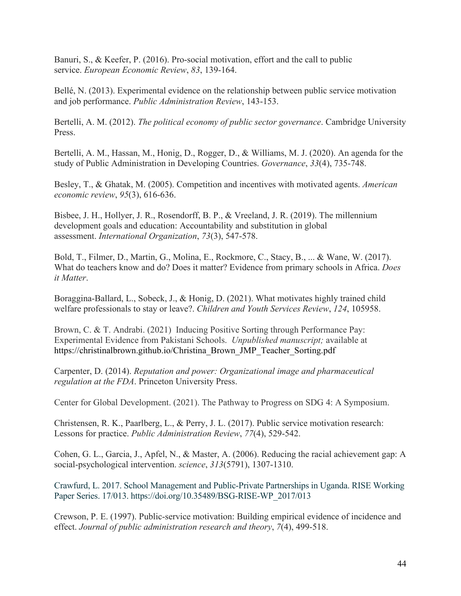Banuri, S., & Keefer, P. (2016). Pro-social motivation, effort and the call to public service. *European Economic Review*, *83*, 139-164.

Bellé, N. (2013). Experimental evidence on the relationship between public service motivation and job performance. *Public Administration Review*, 143-153.

Bertelli, A. M. (2012). *The political economy of public sector governance*. Cambridge University Press.

Bertelli, A. M., Hassan, M., Honig, D., Rogger, D., & Williams, M. J. (2020). An agenda for the study of Public Administration in Developing Countries. *Governance*, *33*(4), 735-748.

Besley, T., & Ghatak, M. (2005). Competition and incentives with motivated agents. *American economic review*, *95*(3), 616-636.

Bisbee, J. H., Hollyer, J. R., Rosendorff, B. P., & Vreeland, J. R. (2019). The millennium development goals and education: Accountability and substitution in global assessment. *International Organization*, *73*(3), 547-578.

Bold, T., Filmer, D., Martin, G., Molina, E., Rockmore, C., Stacy, B., ... & Wane, W. (2017). What do teachers know and do? Does it matter? Evidence from primary schools in Africa. *Does it Matter*.

Boraggina-Ballard, L., Sobeck, J., & Honig, D. (2021). What motivates highly trained child welfare professionals to stay or leave?. *Children and Youth Services Review*, *124*, 105958.

Brown, C. & T. Andrabi. (2021) Inducing Positive Sorting through Performance Pay: Experimental Evidence from Pakistani Schools. *Unpublished manuscript;* available at https://christinalbrown.github.io/Christina\_Brown\_JMP\_Teacher\_Sorting.pdf

Carpenter, D. (2014). *Reputation and power: Organizational image and pharmaceutical regulation at the FDA*. Princeton University Press.

Center for Global Development. (2021). The Pathway to Progress on SDG 4: A Symposium.

Christensen, R. K., Paarlberg, L., & Perry, J. L. (2017). Public service motivation research: Lessons for practice. *Public Administration Review*, *77*(4), 529-542.

Cohen, G. L., Garcia, J., Apfel, N., & Master, A. (2006). Reducing the racial achievement gap: A social-psychological intervention. *science*, *313*(5791), 1307-1310.

Crawfurd, L. 2017. School Management and Public-Private Partnerships in Uganda. RISE Working Paper Series. 17/013. https://doi.org/10.35489/BSG-RISE-WP\_2017/013

Crewson, P. E. (1997). Public-service motivation: Building empirical evidence of incidence and effect. *Journal of public administration research and theory*, *7*(4), 499-518.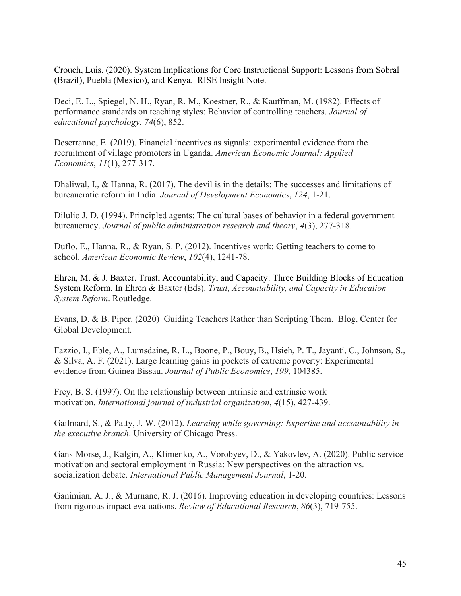Crouch, Luis. (2020). System Implications for Core Instructional Support: Lessons from Sobral (Brazil), Puebla (Mexico), and Kenya. RISE Insight Note.

Deci, E. L., Spiegel, N. H., Ryan, R. M., Koestner, R., & Kauffman, M. (1982). Effects of performance standards on teaching styles: Behavior of controlling teachers. *Journal of educational psychology*, *74*(6), 852.

Deserranno, E. (2019). Financial incentives as signals: experimental evidence from the recruitment of village promoters in Uganda. *American Economic Journal: Applied Economics*, *11*(1), 277-317.

Dhaliwal, I., & Hanna, R. (2017). The devil is in the details: The successes and limitations of bureaucratic reform in India. *Journal of Development Economics*, *124*, 1-21.

Dilulio J. D. (1994). Principled agents: The cultural bases of behavior in a federal government bureaucracy. *Journal of public administration research and theory*, *4*(3), 277-318.

Duflo, E., Hanna, R., & Ryan, S. P. (2012). Incentives work: Getting teachers to come to school. *American Economic Review*, *102*(4), 1241-78.

Ehren, M. & J. Baxter. Trust, Accountability, and Capacity: Three Building Blocks of Education System Reform. In Ehren & Baxter (Eds). *Trust, Accountability, and Capacity in Education System Reform*. Routledge.

Evans, D. & B. Piper. (2020) Guiding Teachers Rather than Scripting Them. Blog, Center for Global Development.

Fazzio, I., Eble, A., Lumsdaine, R. L., Boone, P., Bouy, B., Hsieh, P. T., Jayanti, C., Johnson, S., & Silva, A. F. (2021). Large learning gains in pockets of extreme poverty: Experimental evidence from Guinea Bissau. *Journal of Public Economics*, *199*, 104385.

Frey, B. S. (1997). On the relationship between intrinsic and extrinsic work motivation. *International journal of industrial organization*, *4*(15), 427-439.

Gailmard, S., & Patty, J. W. (2012). *Learning while governing: Expertise and accountability in the executive branch*. University of Chicago Press.

Gans-Morse, J., Kalgin, A., Klimenko, A., Vorobyev, D., & Yakovlev, A. (2020). Public service motivation and sectoral employment in Russia: New perspectives on the attraction vs. socialization debate. *International Public Management Journal*, 1-20.

Ganimian, A. J., & Murnane, R. J. (2016). Improving education in developing countries: Lessons from rigorous impact evaluations. *Review of Educational Research*, *86*(3), 719-755.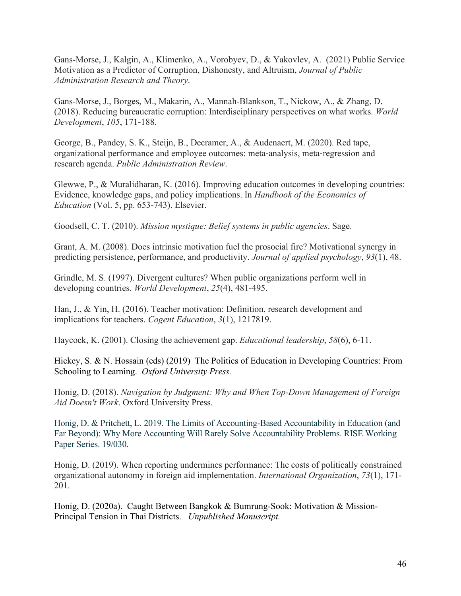Gans-Morse, J., Kalgin, A., Klimenko, A., Vorobyev, D., & Yakovlev, A. (2021) Public Service Motivation as a Predictor of Corruption, Dishonesty, and Altruism, *Journal of Public Administration Research and Theory*.

Gans-Morse, J., Borges, M., Makarin, A., Mannah-Blankson, T., Nickow, A., & Zhang, D. (2018). Reducing bureaucratic corruption: Interdisciplinary perspectives on what works. *World Development*, *105*, 171-188.

George, B., Pandey, S. K., Steijn, B., Decramer, A., & Audenaert, M. (2020). Red tape, organizational performance and employee outcomes: meta‐analysis, meta‐regression and research agenda. *Public Administration Review*.

Glewwe, P., & Muralidharan, K. (2016). Improving education outcomes in developing countries: Evidence, knowledge gaps, and policy implications. In *Handbook of the Economics of Education* (Vol. 5, pp. 653-743). Elsevier.

Goodsell, C. T. (2010). *Mission mystique: Belief systems in public agencies*. Sage.

Grant, A. M. (2008). Does intrinsic motivation fuel the prosocial fire? Motivational synergy in predicting persistence, performance, and productivity. *Journal of applied psychology*, *93*(1), 48.

Grindle, M. S. (1997). Divergent cultures? When public organizations perform well in developing countries. *World Development*, *25*(4), 481-495.

Han, J., & Yin, H. (2016). Teacher motivation: Definition, research development and implications for teachers. *Cogent Education*, *3*(1), 1217819.

Haycock, K. (2001). Closing the achievement gap. *Educational leadership*, *58*(6), 6-11.

Hickey, S. & N. Hossain (eds) (2019) The Politics of Education in Developing Countries: From Schooling to Learning. *Oxford University Press.*

Honig, D. (2018). *Navigation by Judgment: Why and When Top-Down Management of Foreign Aid Doesn't Work*. Oxford University Press.

Honig, D. & Pritchett, L. 2019. The Limits of Accounting-Based Accountability in Education (and Far Beyond): Why More Accounting Will Rarely Solve Accountability Problems. RISE Working Paper Series. 19/030.

Honig, D. (2019). When reporting undermines performance: The costs of politically constrained organizational autonomy in foreign aid implementation. *International Organization*, *73*(1), 171- 201.

Honig, D. (2020a). Caught Between Bangkok & Bumrung-Sook: Motivation & Mission-Principal Tension in Thai Districts. *Unpublished Manuscript.*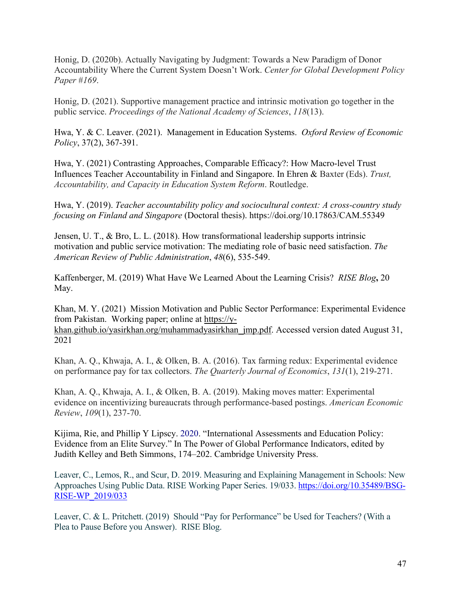Honig, D. (2020b). Actually Navigating by Judgment: Towards a New Paradigm of Donor Accountability Where the Current System Doesn't Work. *Center for Global Development Policy Paper* #*169*.

Honig, D. (2021). Supportive management practice and intrinsic motivation go together in the public service. *Proceedings of the National Academy of Sciences*, *118*(13).

Hwa, Y. & C. Leaver. (2021). Management in Education Systems. *Oxford Review of Economic Policy*, 37(2), 367-391.

Hwa, Y. (2021) Contrasting Approaches, Comparable Efficacy?: How Macro-level Trust Influences Teacher Accountability in Finland and Singapore. In Ehren & Baxter (Eds). *Trust, Accountability, and Capacity in Education System Reform*. Routledge.

Hwa, Y. (2019). *Teacher accountability policy and sociocultural context: A cross-country study focusing on Finland and Singapore* (Doctoral thesis). https://doi.org/10.17863/CAM.55349

Jensen, U. T., & Bro, L. L. (2018). How transformational leadership supports intrinsic motivation and public service motivation: The mediating role of basic need satisfaction. *The American Review of Public Administration*, *48*(6), 535-549.

Kaffenberger, M. (2019) What Have We Learned About the Learning Crisis? *RISE Blog***,** 20 May.

Khan, M. Y. (2021) Mission Motivation and Public Sector Performance: Experimental Evidence from Pakistan. Working paper; online at [https://y](https://y-khan.github.io/yasirkhan.org/muhammadyasirkhan_jmp.pdf)[khan.github.io/yasirkhan.org/muhammadyasirkhan\\_jmp.pdf.](https://y-khan.github.io/yasirkhan.org/muhammadyasirkhan_jmp.pdf) Accessed version dated August 31, 2021

Khan, A. Q., Khwaja, A. I., & Olken, B. A. (2016). Tax farming redux: Experimental evidence on performance pay for tax collectors. *The Quarterly Journal of Economics*, *131*(1), 219-271.

Khan, A. Q., Khwaja, A. I., & Olken, B. A. (2019). Making moves matter: Experimental evidence on incentivizing bureaucrats through performance-based postings. *American Economic Review*, *109*(1), 237-70.

Kijima, Rie, and Phillip Y Lipscy. 2020. "International Assessments and Education Policy: Evidence from an Elite Survey." In The Power of Global Performance Indicators, edited by Judith Kelley and Beth Simmons, 174–202. Cambridge University Press.

Leaver, C., Lemos, R., and Scur, D. 2019. Measuring and Explaining Management in Schools: New Approaches Using Public Data. RISE Working Paper Series. 19/033. [https://doi.org/10.35489/BSG-](https://doi.org/10.35489/BSG-RISE-WP_2019/033)[RISE-WP\\_2019/033](https://doi.org/10.35489/BSG-RISE-WP_2019/033)

Leaver, C. & L. Pritchett. (2019) Should "Pay for Performance" be Used for Teachers? (With a Plea to Pause Before you Answer). RISE Blog.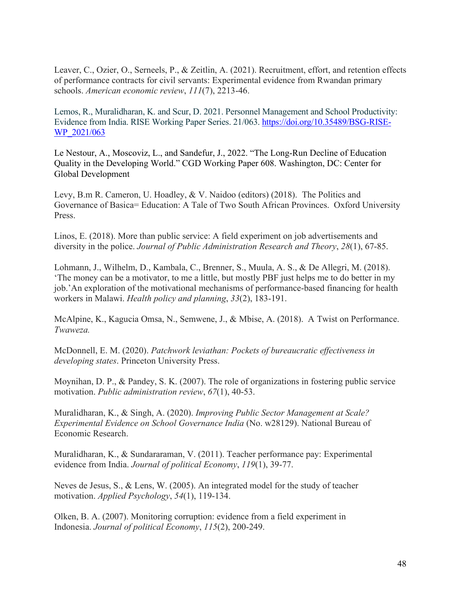Leaver, C., Ozier, O., Serneels, P., & Zeitlin, A. (2021). Recruitment, effort, and retention effects of performance contracts for civil servants: Experimental evidence from Rwandan primary schools. *American economic review*, *111*(7), 2213-46.

Lemos, R., Muralidharan, K. and Scur, D. 2021. Personnel Management and School Productivity: Evidence from India. RISE Working Paper Series. 21/063. [https://doi.org/10.35489/BSG-RISE-](https://doi.org/10.35489/BSG-RISE-WP_2021/063)WP 2021/063

Le Nestour, A., Moscoviz, L., and Sandefur, J., 2022. "The Long-Run Decline of Education Quality in the Developing World." CGD Working Paper 608. Washington, DC: Center for Global Development

Levy, B.m R. Cameron, U. Hoadley, & V. Naidoo (editors) (2018). The Politics and Governance of Basica= Education: A Tale of Two South African Provinces. Oxford University Press.

Linos, E. (2018). More than public service: A field experiment on job advertisements and diversity in the police. *Journal of Public Administration Research and Theory*, *28*(1), 67-85.

Lohmann, J., Wilhelm, D., Kambala, C., Brenner, S., Muula, A. S., & De Allegri, M. (2018). 'The money can be a motivator, to me a little, but mostly PBF just helps me to do better in my job.'An exploration of the motivational mechanisms of performance-based financing for health workers in Malawi. *Health policy and planning*, *33*(2), 183-191.

McAlpine, K., Kagucia Omsa, N., Semwene, J., & Mbise, A. (2018). A Twist on Performance. *Twaweza.*

McDonnell, E. M. (2020). *Patchwork leviathan: Pockets of bureaucratic effectiveness in developing states*. Princeton University Press.

Moynihan, D. P., & Pandey, S. K. (2007). The role of organizations in fostering public service motivation. *Public administration review*, *67*(1), 40-53.

Muralidharan, K., & Singh, A. (2020). *Improving Public Sector Management at Scale? Experimental Evidence on School Governance India* (No. w28129). National Bureau of Economic Research.

Muralidharan, K., & Sundararaman, V. (2011). Teacher performance pay: Experimental evidence from India. *Journal of political Economy*, *119*(1), 39-77.

Neves de Jesus, S., & Lens, W. (2005). An integrated model for the study of teacher motivation. *Applied Psychology*, *54*(1), 119-134.

Olken, B. A. (2007). Monitoring corruption: evidence from a field experiment in Indonesia. *Journal of political Economy*, *115*(2), 200-249.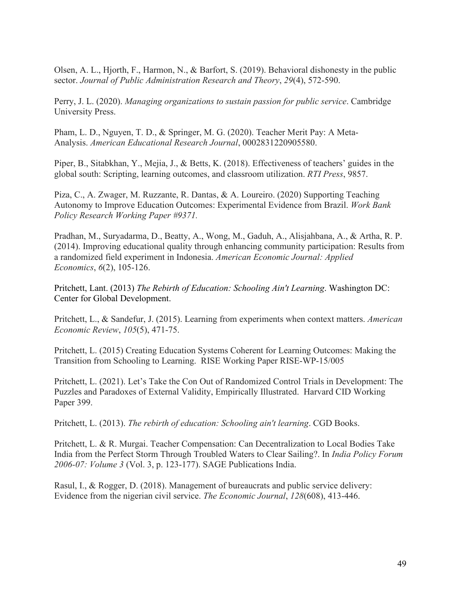Olsen, A. L., Hjorth, F., Harmon, N., & Barfort, S. (2019). Behavioral dishonesty in the public sector. *Journal of Public Administration Research and Theory*, *29*(4), 572-590.

Perry, J. L. (2020). *Managing organizations to sustain passion for public service*. Cambridge University Press.

Pham, L. D., Nguyen, T. D., & Springer, M. G. (2020). Teacher Merit Pay: A Meta-Analysis. *American Educational Research Journal*, 0002831220905580.

Piper, B., Sitabkhan, Y., Mejia, J., & Betts, K. (2018). Effectiveness of teachers' guides in the global south: Scripting, learning outcomes, and classroom utilization. *RTI Press*, 9857.

Piza, C., A. Zwager, M. Ruzzante, R. Dantas, & A. Loureiro. (2020) Supporting Teaching Autonomy to Improve Education Outcomes: Experimental Evidence from Brazil. *Work Bank Policy Research Working Paper #9371.*

Pradhan, M., Suryadarma, D., Beatty, A., Wong, M., Gaduh, A., Alisjahbana, A., & Artha, R. P. (2014). Improving educational quality through enhancing community participation: Results from a randomized field experiment in Indonesia. *American Economic Journal: Applied Economics*, *6*(2), 105-126.

Pritchett, Lant. (2013) *The Rebirth of Education: Schooling Ain't Learning*. Washington DC: Center for Global Development.

Pritchett, L., & Sandefur, J. (2015). Learning from experiments when context matters. *American Economic Review*, *105*(5), 471-75.

Pritchett, L. (2015) Creating Education Systems Coherent for Learning Outcomes: Making the Transition from Schooling to Learning. RISE Working Paper RISE-WP-15/005

Pritchett, L. (2021). Let's Take the Con Out of Randomized Control Trials in Development: The Puzzles and Paradoxes of External Validity, Empirically Illustrated. Harvard CID Working Paper 399.

Pritchett, L. (2013). *The rebirth of education: Schooling ain't learning*. CGD Books.

Pritchett, L. & R. Murgai. Teacher Compensation: Can Decentralization to Local Bodies Take India from the Perfect Storm Through Troubled Waters to Clear Sailing?. In *India Policy Forum 2006-07: Volume 3* (Vol. 3, p. 123-177). SAGE Publications India.

Rasul, I., & Rogger, D. (2018). Management of bureaucrats and public service delivery: Evidence from the nigerian civil service. *The Economic Journal*, *128*(608), 413-446.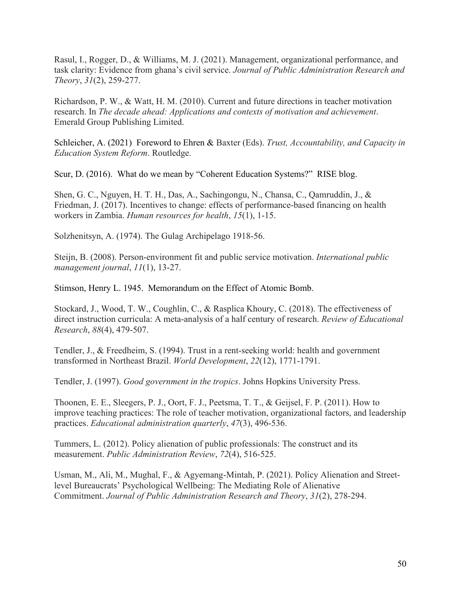Rasul, I., Rogger, D., & Williams, M. J. (2021). Management, organizational performance, and task clarity: Evidence from ghana's civil service. *Journal of Public Administration Research and Theory*, *31*(2), 259-277.

Richardson, P. W., & Watt, H. M. (2010). Current and future directions in teacher motivation research. In *The decade ahead: Applications and contexts of motivation and achievement*. Emerald Group Publishing Limited.

Schleicher, A. (2021) Foreword to Ehren & Baxter (Eds). *Trust, Accountability, and Capacity in Education System Reform*. Routledge.

Scur, D. (2016). What do we mean by "Coherent Education Systems?" RISE blog.

Shen, G. C., Nguyen, H. T. H., Das, A., Sachingongu, N., Chansa, C., Qamruddin, J., & Friedman, J. (2017). Incentives to change: effects of performance-based financing on health workers in Zambia. *Human resources for health*, *15*(1), 1-15.

Solzhenitsyn, A. (1974). The Gulag Archipelago 1918-56.

Steijn, B. (2008). Person-environment fit and public service motivation. *International public management journal*, *11*(1), 13-27.

Stimson, Henry L. 1945. Memorandum on the Effect of Atomic Bomb.

Stockard, J., Wood, T. W., Coughlin, C., & Rasplica Khoury, C. (2018). The effectiveness of direct instruction curricula: A meta-analysis of a half century of research. *Review of Educational Research*, *88*(4), 479-507.

Tendler, J., & Freedheim, S. (1994). Trust in a rent-seeking world: health and government transformed in Northeast Brazil. *World Development*, *22*(12), 1771-1791.

Tendler, J. (1997). *Good government in the tropics*. Johns Hopkins University Press.

Thoonen, E. E., Sleegers, P. J., Oort, F. J., Peetsma, T. T., & Geijsel, F. P. (2011). How to improve teaching practices: The role of teacher motivation, organizational factors, and leadership practices. *Educational administration quarterly*, *47*(3), 496-536.

Tummers, L. (2012). Policy alienation of public professionals: The construct and its measurement. *Public Administration Review*, *72*(4), 516-525.

Usman, M., Ali, M., Mughal, F., & Agyemang-Mintah, P. (2021). Policy Alienation and Streetlevel Bureaucrats' Psychological Wellbeing: The Mediating Role of Alienative Commitment. *Journal of Public Administration Research and Theory*, *31*(2), 278-294.